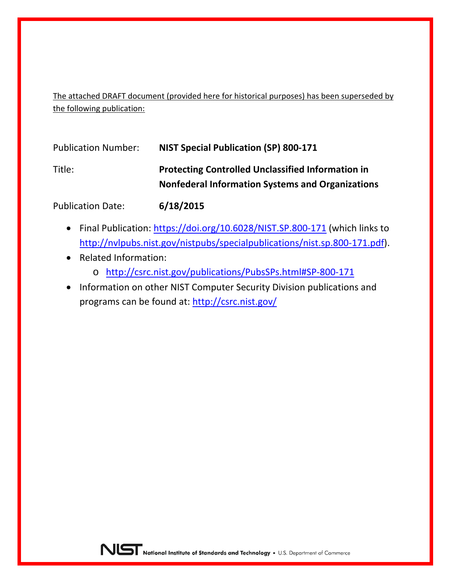The attached DRAFT document (provided here for historical purposes) has been superseded by the following publication:

| <b>Publication Number:</b> | <b>NIST Special Publication (SP) 800-171</b>                                                                        |
|----------------------------|---------------------------------------------------------------------------------------------------------------------|
| Title:                     | <b>Protecting Controlled Unclassified Information in</b><br><b>Nonfederal Information Systems and Organizations</b> |

Publication Date: **6/18/2015**

- Final Publication:<https://doi.org/10.6028/NIST.SP.800-171> (which links to [http://nvlpubs.nist.gov/nistpubs/specialpublications/nist.sp.800-171.pdf\)](http://nvlpubs.nist.gov/nistpubs/specialpublications/nist.sp.800-171.pdf).
- Related Information:
	- o <http://csrc.nist.gov/publications/PubsSPs.html#SP-800-171>
- Information on other NIST Computer Security Division publications and programs can be found at:<http://csrc.nist.gov/>

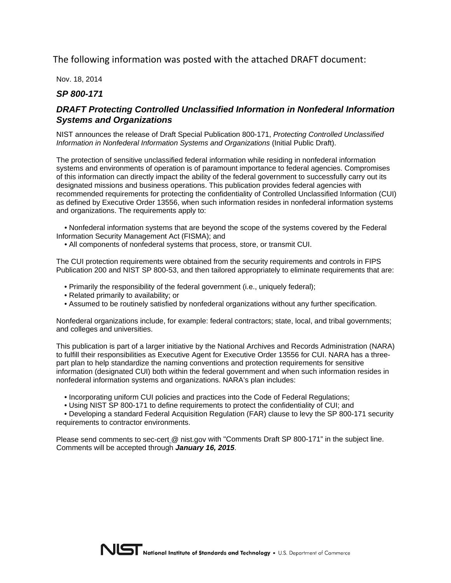The following information was posted with the attached DRAFT document:

Nov. 18, 2014

*SP 800-171*

### *DRAFT Protecting Controlled Unclassified Information in Nonfederal Information Systems and Organizations*

NIST announces the release of Draft Special Publication 800-171, *Protecting Controlled Unclassified Information in Nonfederal Information Systems and Organizations* (Initial Public Draft).

The protection of sensitive unclassified federal information while residing in nonfederal information systems and environments of operation is of paramount importance to federal agencies. Compromises of this information can directly impact the ability of the federal government to successfully carry out its designated missions and business operations. This publication provides federal agencies with recommended requirements for protecting the confidentiality of Controlled Unclassified Information (CUI) as defined by Executive Order 13556, when such information resides in nonfederal information systems and organizations. The requirements apply to:

• Nonfederal information systems that are beyond the scope of the systems covered by the Federal Information Security Management Act (FISMA); and

• All components of nonfederal systems that process, store, or transmit CUI.

The CUI protection requirements were obtained from the security requirements and controls in FIPS Publication 200 and NIST SP 800-53, and then tailored appropriately to eliminate requirements that are:

- Primarily the responsibility of the federal government (i.e., uniquely federal);
- Related primarily to availability; or
- Assumed to be routinely satisfied by nonfederal organizations without any further specification.

Nonfederal organizations include, for example: federal contractors; state, local, and tribal governments; and colleges and universities.

This publication is part of a larger initiative by the National Archives and Records Administration (NARA) to fulfill their responsibilities as Executive Agent for Executive Order 13556 for CUI. NARA has a threepart plan to help standardize the naming conventions and protection requirements for sensitive information (designated CUI) both within the federal government and when such information resides in nonfederal information systems and organizations. NARA's plan includes:

- Incorporating uniform CUI policies and practices into the Code of Federal Regulations;
- Using NIST SP 800-171 to define requirements to protect the confidentiality of CUI; and

• Developing a standard Federal Acquisition Regulation (FAR) clause to levy the SP 800-171 security requirements to contractor environments.

Please send comments to sec-cert @ nist.gov with "Comments Draft SP 800-171" in the subject line. Comments will be accepted through *January 16, 2015*.

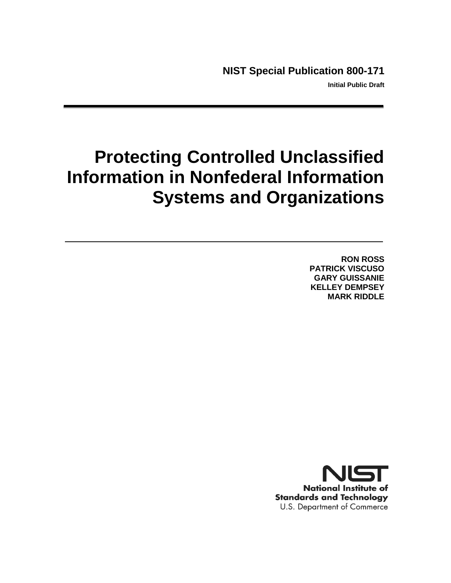**Initial Public Draft**

# **Protecting Controlled Unclassified Information in Nonfederal Information Systems and Organizations**

**RON ROSS PATRICK VISCUSO GARY GUISSANIE KELLEY DEMPSEY MARK RIDDLE**

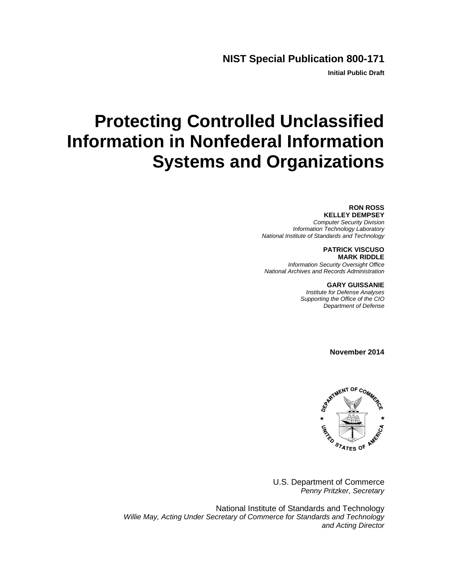# **NIST Special Publication 800-171**

**Initial Public Draft**

# **Protecting Controlled Unclassified Information in Nonfederal Information Systems and Organizations**

### **RON ROSS**

**KELLEY DEMPSEY** *Computer Security Division Information Technology Laboratory National Institute of Standards and Technology*

#### **PATRICK VISCUSO MARK RIDDLE**

*Information Security Oversight Office National Archives and Records Administration*

**GARY GUISSANIE**

*Institute for Defense Analyses Supporting the Office of the CIO Department of Defense*

**November 2014**



U.S. Department of Commerce *Penny Pritzker, Secretary*

National Institute of Standards and Technology *Willie May, Acting Under Secretary of Commerce for Standards and Technology and Acting Director*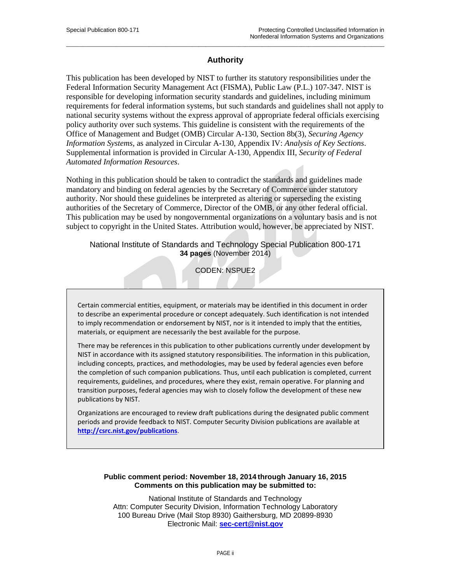### **Authority**

 $\overline{\phantom{a}}$  , and the contribution of the contribution of the contribution of the contribution of the contribution of the contribution of the contribution of the contribution of the contribution of the contribution of the

This publication has been developed by NIST to further its statutory responsibilities under the Federal Information Security Management Act (FISMA), Public Law (P.L.) 107-347. NIST is responsible for developing information security standards and guidelines, including minimum requirements for federal information systems, but such standards and guidelines shall not apply to national security systems without the express approval of appropriate federal officials exercising policy authority over such systems. This guideline is consistent with the requirements of the Office of Management and Budget (OMB) Circular A-130, Section 8b(3), *Securing Agency Information Systems*, as analyzed in Circular A-130, Appendix IV: *Analysis of Key Sections*. Supplemental information is provided in Circular A-130, Appendix III, *Security of Federal Automated Information Resources*.

Nothing in this publication should be taken to contradict the standards and guidelines made mandatory and binding on federal agencies by the Secretary of Commerce under statutory authority. Nor should these guidelines be interpreted as altering or superseding the existing authorities of the Secretary of Commerce, Director of the OMB, or any other federal official. This publication may be used by nongovernmental organizations on a voluntary basis and is not subject to copyright in the United States. Attribution would, however, be appreciated by NIST.

### National Institute of Standards and Technology Special Publication 800-171 **34 pages** (November 2014)

CODEN: NSPUE2

 Certain commercial entities, equipment, or materials may be identified in this document in order to describe an experimental procedure or concept adequately. Such identification is not intended to imply recommendation or endorsement by NIST, nor is it intended to imply that the entities, materials, or equipment are necessarily the best available for the purpose.

There may be references in this publication to other publications currently under development by NIST in accordance with its assigned statutory responsibilities. The information in this publication, including concepts, practices, and methodologies, may be used by federal agencies even before the completion of such companion publications. Thus, until each publication is completed, current requirements, guidelines, and procedures, where they exist, remain operative. For planning and transition purposes, federal agencies may wish to closely follow the development of these new publications by NIST.

Organizations are encouraged to review draft publications during the designated public comment periods and provide feedback to NIST. Computer Security Division publications are available at **<http://csrc.nist.gov/publications>**.

#### **Public comment period: November 18, 2014 through January 16, 2015 Comments on this publication may be submitted to:**

National Institute of Standards and Technology Attn: Computer Security Division, Information Technology Laboratory 100 Bureau Drive (Mail Stop 8930) Gaithersburg, MD 20899-8930 Electronic Mail: **[sec-cert@nist.gov](mailto:sec-cert@nist.gov)**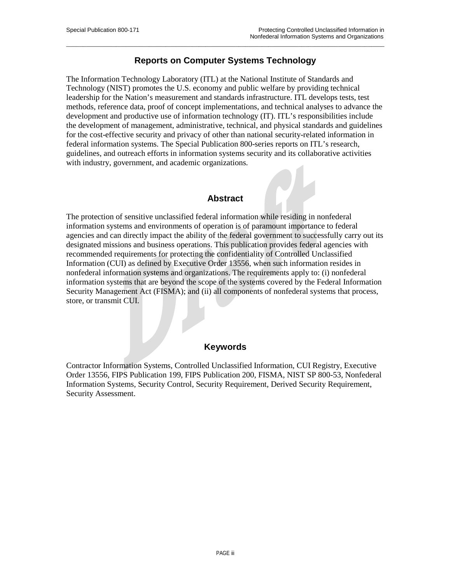# **Reports on Computer Systems Technology**

 $\overline{\phantom{a}}$  , and the contribution of the contribution of the contribution of the contribution of the contribution of the contribution of the contribution of the contribution of the contribution of the contribution of the

The Information Technology Laboratory (ITL) at the National Institute of Standards and Technology (NIST) promotes the U.S. economy and public welfare by providing technical leadership for the Nation's measurement and standards infrastructure. ITL develops tests, test methods, reference data, proof of concept implementations, and technical analyses to advance the development and productive use of information technology (IT). ITL's responsibilities include the development of management, administrative, technical, and physical standards and guidelines for the cost-effective security and privacy of other than national security-related information in federal information systems. The Special Publication 800-series reports on ITL's research, guidelines, and outreach efforts in information systems security and its collaborative activities with industry, government, and academic organizations.

## **Abstract**

The protection of sensitive unclassified federal information while residing in nonfederal information systems and environments of operation is of paramount importance to federal agencies and can directly impact the ability of the federal government to successfully carry out its designated missions and business operations. This publication provides federal agencies with recommended requirements for protecting the confidentiality of Controlled Unclassified Information (CUI) as defined by Executive Order 13556, when such information resides in nonfederal information systems and organizations. The requirements apply to: (i) nonfederal information systems that are beyond the scope of the systems covered by the Federal Information Security Management Act (FISMA); and (ii) all components of nonfederal systems that process, store, or transmit CUI.

### **Keywords**

Contractor Information Systems, Controlled Unclassified Information, CUI Registry, Executive Order 13556, FIPS Publication 199, FIPS Publication 200, FISMA, NIST SP 800-53, Nonfederal Information Systems, Security Control, Security Requirement, Derived Security Requirement, Security Assessment.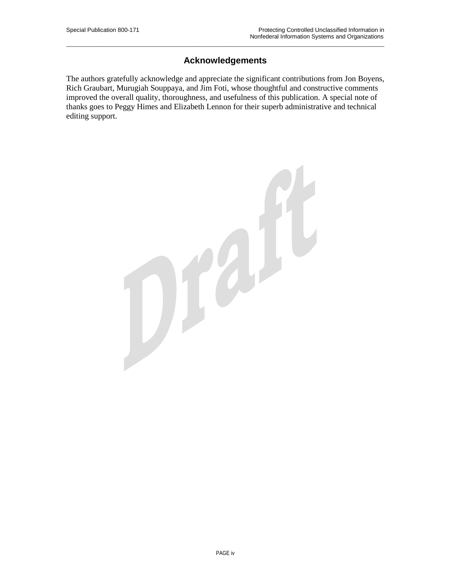# **Acknowledgements**

 $\overline{\phantom{a}}$  , and the contribution of the contribution of the contribution of the contribution of the contribution of the contribution of the contribution of the contribution of the contribution of the contribution of the

The authors gratefully acknowledge and appreciate the significant contributions from Jon Boyens, Rich Graubart, Murugiah Souppaya, and Jim Foti, whose thoughtful and constructive comments improved the overall quality, thoroughness, and usefulness of this publication. A special note of thanks goes to Peggy Himes and Elizabeth Lennon for their superb administrative and technical editing support.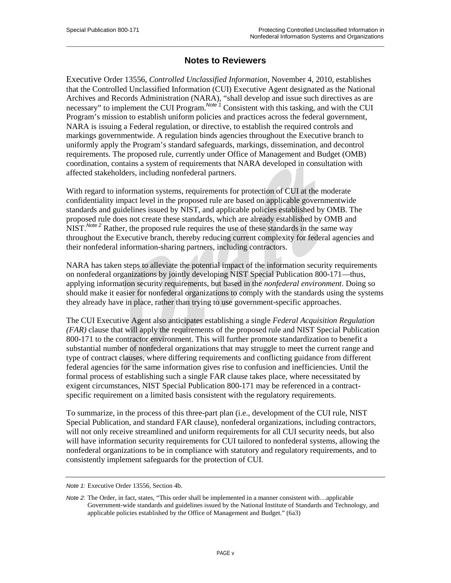# **Notes to Reviewers**

 $\overline{\phantom{a}}$  , and the contribution of the contribution of the contribution of the contribution of the contribution of the contribution of the contribution of the contribution of the contribution of the contribution of the

Executive Order 13556, *Controlled Unclassified Information*, November 4, 2010, establishes that the Controlled Unclassified Information (CUI) Executive Agent designated as the National Archives and Records Administration (NARA), "shall develop and issue such directives as are necessary" to implement the CUI Program.<sup>Note 1</sup> Consistent with this tasking, and with the CUI Program's mission to establish uniform policies and practices across the federal government, NARA is issuing a Federal regulation, or directive, to establish the required controls and markings governmentwide. A regulation binds agencies throughout the Executive branch to uniformly apply the Program's standard safeguards, markings, dissemination, and decontrol requirements. The proposed rule, currently under Office of Management and Budget (OMB) coordination, contains a system of requirements that NARA developed in consultation with affected stakeholders, including nonfederal partners.

With regard to information systems, requirements for protection of CUI at the moderate confidentiality impact level in the proposed rule are based on applicable governmentwide standards and guidelines issued by NIST, and applicable policies established by OMB. The proposed rule does not create these standards, which are already established by OMB and NIST.<sup>Note 2</sup> Rather, the proposed rule requires the use of these standards in the same way throughout the Executive branch, thereby reducing current complexity for federal agencies and their nonfederal information-sharing partners, including contractors.

NARA has taken steps to alleviate the potential impact of the information security requirements on nonfederal organizations by jointly developing NIST Special Publication 800-171—thus, applying information security requirements, but based in the *nonfederal environment*. Doing so should make it easier for nonfederal organizations to comply with the standards using the systems they already have in place, rather than trying to use government-specific approaches.

The CUI Executive Agent also anticipates establishing a single *Federal Acquisition Regulation (FAR)* clause that will apply the requirements of the proposed rule and NIST Special Publication 800-171 to the contractor environment. This will further promote standardization to benefit a substantial number of nonfederal organizations that may struggle to meet the current range and type of contract clauses, where differing requirements and conflicting guidance from different federal agencies for the same information gives rise to confusion and inefficiencies. Until the formal process of establishing such a single FAR clause takes place, where necessitated by exigent circumstances, NIST Special Publication 800-171 may be referenced in a contractspecific requirement on a limited basis consistent with the regulatory requirements.

To summarize, in the process of this three-part plan (i.e., development of the CUI rule, NIST Special Publication, and standard FAR clause), nonfederal organizations, including contractors, will not only receive streamlined and uniform requirements for all CUI security needs, but also will have information security requirements for CUI tailored to nonfederal systems, allowing the nonfederal organizations to be in compliance with statutory and regulatory requirements, and to consistently implement safeguards for the protection of CUI.

*Note 1:* Executive Order 13556, Section 4b.

*Note 2:* The Order, in fact, states, "This order shall be implemented in a manner consistent with…applicable Government-wide standards and guidelines issued by the National Institute of Standards and Technology, and applicable policies established by the Office of Management and Budget." (6a3)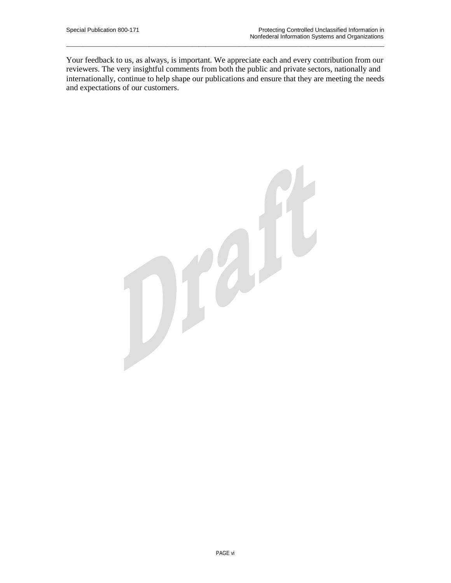Your feedback to us, as always, is important. We appreciate each and every contribution from our reviewers. The very insightful comments from both the public and private sectors, nationally and internationally, continue to help shape our publications and ensure that they are meeting the needs and expectations of our customers.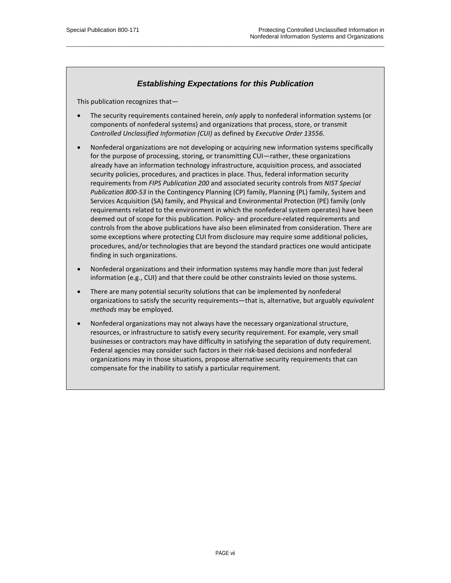### *Establishing Expectations for this Publication*

 $\overline{\phantom{a}}$  , and the contribution of the contribution of the contribution of the contribution of the contribution of the contribution of the contribution of the contribution of the contribution of the contribution of the

This publication recognizes that—

- The security requirements contained herein, *only* apply to nonfederal information systems (or components of nonfederal systems) and organizations that process, store, or transmit *Controlled Unclassified Information (CUI)* as defined by *Executive Order 13556*.
- Nonfederal organizations are not developing or acquiring new information systems specifically for the purpose of processing, storing, or transmitting CUI—rather, these organizations already have an information technology infrastructure, acquisition process, and associated security policies, procedures, and practices in place. Thus, federal information security requirements from *FIPS Publication 200* and associated security controls from *NIST Special Publication 800-53* in the Contingency Planning (CP) family, Planning (PL) family, System and Services Acquisition (SA) family, and Physical and Environmental Protection (PE) family (only requirements related to the environment in which the nonfederal system operates) have been deemed out of scope for this publication. Policy- and procedure-related requirements and controls from the above publications have also been eliminated from consideration. There are some exceptions where protecting CUI from disclosure may require some additional policies, procedures, and/or technologies that are beyond the standard practices one would anticipate finding in such organizations.
- Nonfederal organizations and their information systems may handle more than just federal information (e.g., CUI) and that there could be other constraints levied on those systems.
- There are many potential security solutions that can be implemented by nonfederal organizations to satisfy the security requirements—that is, alternative, but arguably *equivalent methods* may be employed.
- Nonfederal organizations may not always have the necessary organizational structure, resources, or infrastructure to satisfy every security requirement. For example, very small businesses or contractors may have difficulty in satisfying the separation of duty requirement. Federal agencies may consider such factors in their risk-based decisions and nonfederal organizations may in those situations, propose alternative security requirements that can compensate for the inability to satisfy a particular requirement.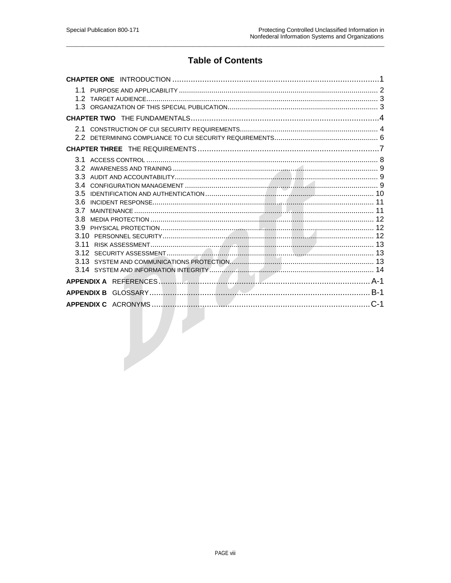# **Table of Contents**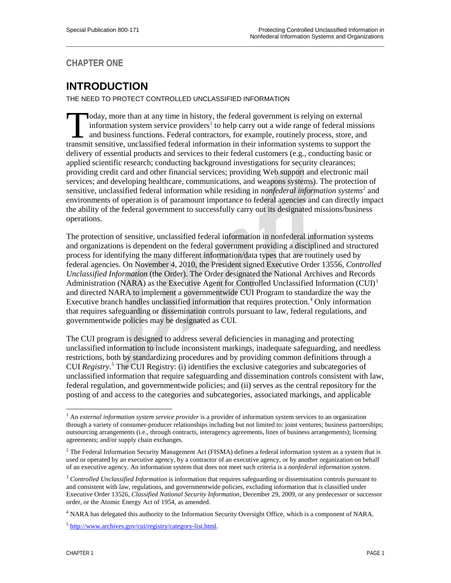# <span id="page-11-0"></span>**CHAPTER ONE**

# **INTRODUCTION**

THE NEED TO PROTECT CONTROLLED UNCLASSIFIED INFORMATION

oday, more than at any time in history, the federal government is relying on external information system service providers<sup>[1](#page-11-1)</sup> to help carry out a wide range of federal missions and business functions. Federal contractors, for example, routinely process, store, and Today, more than at any time in history, the federal government is relying on external information system service providers<sup>1</sup> to help carry out a wide range of federal missions and business functions. Federal contractors, delivery of essential products and services to their federal customers (e.g., conducting basic or applied scientific research; conducting background investigations for security clearances; providing credit card and other financial services; providing Web support and electronic mail services; and developing healthcare, communications, and weapons systems). The protection of sensitive, unclassified federal information while residing in *nonfederal information systems*[2](#page-11-2) and environments of operation is of paramount importance to federal agencies and can directly impact the ability of the federal government to successfully carry out its designated missions/business operations.

 $\overline{\phantom{a}}$  , and the contribution of the contribution of the contribution of the contribution of the contribution of the contribution of the contribution of the contribution of the contribution of the contribution of the

The protection of sensitive, unclassified federal information in nonfederal information systems and organizations is dependent on the federal government providing a disciplined and structured process for identifying the many different information/data types that are routinely used by federal agencies. On November 4, 2010, the President signed Executive Order 13556, *Controlled Unclassified Information* (the Order). The Order designated the National Archives and Records Administration (NARA) as the Executive Agent for Controlled Unclassified Information (CUI)<sup>[3](#page-11-3)</sup> and directed NARA to implement a governmentwide CUI Program to standardize the way the Executive branch handles unclassified information that requires protection. [4](#page-11-4) Only information that requires safeguarding or dissemination controls pursuant to law, federal regulations, and governmentwide policies may be designated as CUI.

The CUI program is designed to address several deficiencies in managing and protecting unclassified information to include inconsistent markings, inadequate safeguarding, and needless restrictions, both by standardizing procedures and by providing common definitions through a CUI *Registry*. [5](#page-11-5) The CUI Registry: (i) identifies the exclusive categories and subcategories of unclassified information that require safeguarding and dissemination controls consistent with law, federal regulation, and governmentwide policies; and (ii) serves as the central repository for the posting of and access to the categories and subcategories, associated markings, and applicable

<span id="page-11-1"></span><sup>1</sup> An *external information system service provider* is a provider of information system services to an organization through a variety of consumer-producer relationships including but not limited to: joint ventures; business partnerships; outsourcing arrangements (i.e., through contracts, interagency agreements, lines of business arrangements); licensing agreements; and/or supply chain exchanges.

<span id="page-11-2"></span> $2$  The Federal Information Security Management Act (FISMA) defines a federal information system as a system that is used or operated by an executive agency, by a contractor of an executive agency, or by another organization on behalf of an executive agency. An information system that does not meet such criteria is a *nonfederal information system*.

<span id="page-11-3"></span><sup>3</sup> *Controlled Unclassified Information* is information that requires safeguarding or dissemination controls pursuant to and consistent with law, regulations, and governmentwide policies, excluding information that is classified under Executive Order 13526, *Classified National Security Information*, December 29, 2009, or any predecessor or successor order, or the Atomic Energy Act of 1954, as amended.

<span id="page-11-4"></span><sup>&</sup>lt;sup>4</sup> NARA has delegated this authority to the Information Security Oversight Office, which is a component of NARA.

<span id="page-11-5"></span><sup>5</sup> [http://www.archives.gov/cui/registry/category-list.html.](http://www.archives.gov/cui/registry/category-list.html)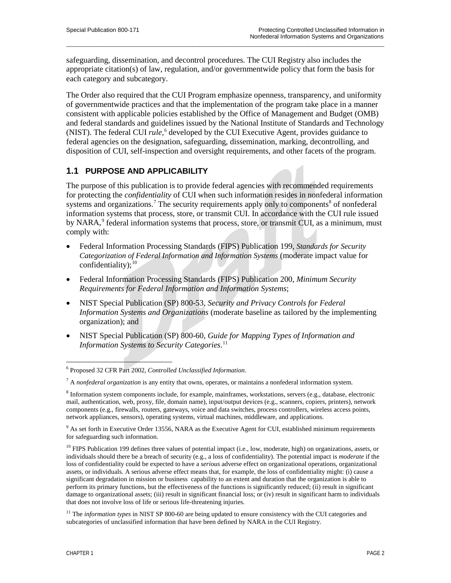safeguarding, dissemination, and decontrol procedures. The CUI Registry also includes the appropriate citation(s) of law, regulation, and/or governmentwide policy that form the basis for each category and subcategory.

 $\overline{\phantom{a}}$  , and the contribution of the contribution of the contribution of the contribution of the contribution of the contribution of the contribution of the contribution of the contribution of the contribution of the

The Order also required that the CUI Program emphasize openness, transparency, and uniformity of governmentwide practices and that the implementation of the program take place in a manner consistent with applicable policies established by the Office of Management and Budget (OMB) and federal standards and guidelines issued by the National Institute of Standards and Technology (NIST). The federal CUI *rule*, [6](#page-12-1) developed by the CUI Executive Agent, provides guidance to federal agencies on the designation, safeguarding, dissemination, marking, decontrolling, and disposition of CUI, self-inspection and oversight requirements, and other facets of the program.

### <span id="page-12-0"></span>**1.1 PURPOSE AND APPLICABILITY**

The purpose of this publication is to provide federal agencies with recommended requirements for protecting the *confidentiality* of CUI when such information resides in nonfederal information systems and organizations.<sup>[7](#page-12-2)</sup> The security requirements apply only to components<sup>[8](#page-12-3)</sup> of nonfederal information systems that process, store, or transmit CUI. In accordance with the CUI rule issued by NARA,<sup>[9](#page-12-4)</sup> federal information systems that process, store, or transmit CUI, as a minimum, must comply with:

- Federal Information Processing Standards (FIPS) Publication 199, *Standards for Security Categorization of Federal Information and Information Systems* (moderate impact value for confidentiality): $10$
- Federal Information Processing Standards (FIPS) Publication 200, *Minimum Security Requirements for Federal Information and Information Systems*;
- NIST Special Publication (SP) 800-53, *Security and Privacy Controls for Federal Information Systems and Organizations* (moderate baseline as tailored by the implementing organization); and
- NIST Special Publication (SP) 800-60, *Guide for Mapping Types of Information and Information Systems to Security Categories*. [11](#page-12-6)

<span id="page-12-1"></span><sup>6</sup> Proposed 32 CFR Part 2002, *Controlled Unclassified Information*.  $\overline{a}$ 

<span id="page-12-2"></span><sup>7</sup> A *nonfederal organization* is any entity that owns, operates, or maintains a nonfederal information system.

<span id="page-12-3"></span><sup>8</sup> Information system components include, for example, mainframes, workstations, servers (e.g., database, electronic mail, authentication, web, proxy, file, domain name), input/output devices (e.g., scanners, copiers, printers), network components (e.g., firewalls, routers, gateways, voice and data switches, process controllers, wireless access points, network appliances, sensors), operating systems, virtual machines, middleware, and applications.

<span id="page-12-4"></span><sup>&</sup>lt;sup>9</sup> As set forth in Executive Order 13556, NARA as the Executive Agent for CUI, established minimum requirements for safeguarding such information.

<span id="page-12-5"></span> $10$  FIPS Publication 199 defines three values of potential impact (i.e., low, moderate, high) on organizations, assets, or individuals should there be a breach of security (e.g., a loss of confidentiality). The potential impact is *moderate* if the loss of confidentiality could be expected to have a *serious* adverse effect on organizational operations, organizational assets, or individuals. A serious adverse effect means that, for example, the loss of confidentiality might: (i) cause a significant degradation in mission or business capability to an extent and duration that the organization is able to perform its primary functions, but the effectiveness of the functions is significantly reduced; (ii) result in significant damage to organizational assets; (iii) result in significant financial loss; or (iv) result in significant harm to individuals that does not involve loss of life or serious life-threatening injuries.

<span id="page-12-6"></span><sup>&</sup>lt;sup>11</sup> The *information types* in NIST SP 800-60 are being updated to ensure consistency with the CUI categories and subcategories of unclassified information that have been defined by NARA in the CUI Registry.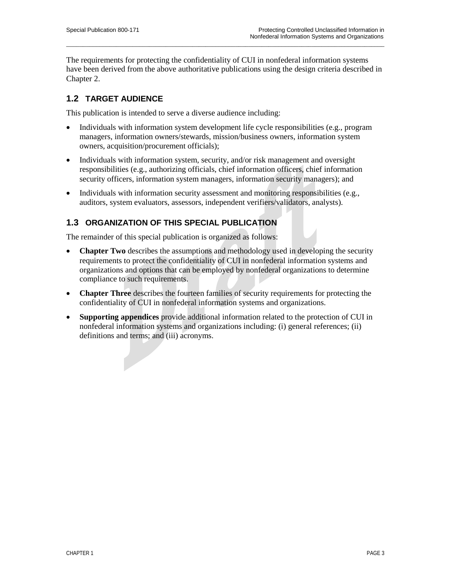The requirements for protecting the confidentiality of CUI in nonfederal information systems have been derived from the above authoritative publications using the design criteria described in Chapter 2.

 $\overline{\phantom{a}}$  , and the contribution of the contribution of the contribution of the contribution of the contribution of the contribution of the contribution of the contribution of the contribution of the contribution of the

## <span id="page-13-0"></span>**1.2 TARGET AUDIENCE**

This publication is intended to serve a diverse audience including:

- Individuals with information system development life cycle responsibilities (e.g., program managers, information owners/stewards, mission/business owners, information system owners, acquisition/procurement officials);
- Individuals with information system, security, and/or risk management and oversight responsibilities (e.g., authorizing officials, chief information officers, chief information security officers, information system managers, information security managers); and
- Individuals with information security assessment and monitoring responsibilities (e.g., auditors, system evaluators, assessors, independent verifiers/validators, analysts).

# <span id="page-13-1"></span>**1.3 ORGANIZATION OF THIS SPECIAL PUBLICATION**

The remainder of this special publication is organized as follows:

- **Chapter Two** describes the assumptions and methodology used in developing the security requirements to protect the confidentiality of CUI in nonfederal information systems and organizations and options that can be employed by nonfederal organizations to determine compliance to such requirements.
- **Chapter Three** describes the fourteen families of security requirements for protecting the confidentiality of CUI in nonfederal information systems and organizations.
- **Supporting appendices** provide additional information related to the protection of CUI in nonfederal information systems and organizations including: (i) general references; (ii) definitions and terms; and (iii) acronyms.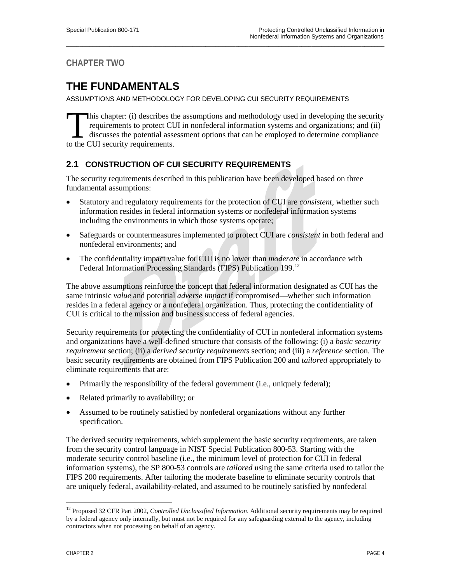# <span id="page-14-0"></span>**CHAPTER TWO**

# **THE FUNDAMENTALS**

ASSUMPTIONS AND METHODOLOGY FOR DEVELOPING CUI SECURITY REQUIREMENTS

his chapter: (i) describes the assumptions and methodology used in developing the security requirements to protect CUI in nonfederal information systems and organizations; and (ii) discusses the potential assessment options that can be employed to determine compliance This chapter: (i) describes the requirements to protect CU discusses the potential asset to the CUI security requirements.

 $\overline{\phantom{a}}$  , and the contribution of the contribution of the contribution of the contribution of the contribution of the contribution of the contribution of the contribution of the contribution of the contribution of the

## <span id="page-14-1"></span>**2.1 CONSTRUCTION OF CUI SECURITY REQUIREMENTS**

The security requirements described in this publication have been developed based on three fundamental assumptions:

- Statutory and regulatory requirements for the protection of CUI are *consistent*, whether such information resides in federal information systems or nonfederal information systems including the environments in which those systems operate;
- Safeguards or countermeasures implemented to protect CUI are *consistent* in both federal and nonfederal environments; and
- The confidentiality impact value for CUI is no lower than *moderate* in accordance with Federal Information Processing Standards (FIPS) Publication 199.<sup>[12](#page-14-2)</sup>

The above assumptions reinforce the concept that federal information designated as CUI has the same intrinsic *value* and potential *adverse impact* if compromised—whether such information resides in a federal agency or a nonfederal organization. Thus, protecting the confidentiality of CUI is critical to the mission and business success of federal agencies.

Security requirements for protecting the confidentiality of CUI in nonfederal information systems and organizations have a well-defined structure that consists of the following: (i) a *basic security requirement* section; (ii) a *derived security requirements* section; and (iii) a *reference* section. The basic security requirements are obtained from FIPS Publication 200 and *tailored* appropriately to eliminate requirements that are:

- Primarily the responsibility of the federal government (i.e., uniquely federal);
- Related primarily to availability; or
- Assumed to be routinely satisfied by nonfederal organizations without any further specification.

The derived security requirements, which supplement the basic security requirements, are taken from the security control language in NIST Special Publication 800-53. Starting with the moderate security control baseline (i.e., the minimum level of protection for CUI in federal information systems), the SP 800-53 controls are *tailored* using the same criteria used to tailor the FIPS 200 requirements. After tailoring the moderate baseline to eliminate security controls that are uniquely federal, availability-related, and assumed to be routinely satisfied by nonfederal

<span id="page-14-2"></span><sup>12</sup> Proposed 32 CFR Part 2002, *Controlled Unclassified Information*. Additional security requirements may be required by a federal agency only internally, but must not be required for any safeguarding external to the agency, including contractors when not processing on behalf of an agency.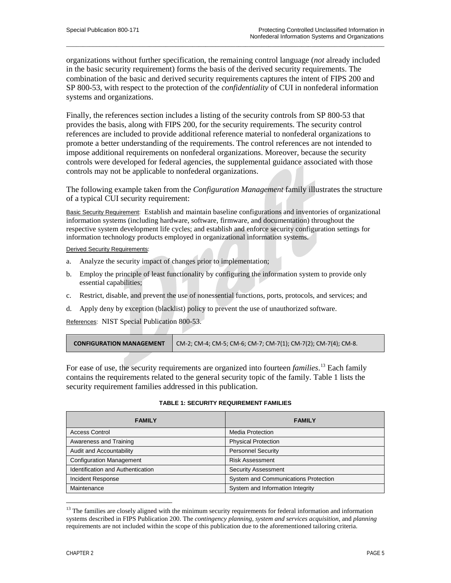organizations without further specification, the remaining control language (*not* already included in the basic security requirement) forms the basis of the derived security requirements. The combination of the basic and derived security requirements captures the intent of FIPS 200 and SP 800-53, with respect to the protection of the *confidentiality* of CUI in nonfederal information systems and organizations.

 $\overline{\phantom{a}}$  , and the contribution of the contribution of the contribution of the contribution of the contribution of the contribution of the contribution of the contribution of the contribution of the contribution of the

Finally, the references section includes a listing of the security controls from SP 800-53 that provides the basis, along with FIPS 200, for the security requirements. The security control references are included to provide additional reference material to nonfederal organizations to promote a better understanding of the requirements. The control references are not intended to impose additional requirements on nonfederal organizations. Moreover, because the security controls were developed for federal agencies, the supplemental guidance associated with those controls may not be applicable to nonfederal organizations.

The following example taken from the *Configuration Management* family illustrates the structure of a typical CUI security requirement:

Basic Security Requirement: Establish and maintain baseline configurations and inventories of organizational information systems (including hardware, software, firmware, and documentation) throughout the respective system development life cycles; and establish and enforce security configuration settings for information technology products employed in organizational information systems.

Derived Security Requirements:

- a. Analyze the security impact of changes prior to implementation;
- b. Employ the principle of least functionality by configuring the information system to provide only essential capabilities;
- c. Restrict, disable, and prevent the use of nonessential functions, ports, protocols, and services; and
- d. Apply deny by exception (blacklist) policy to prevent the use of unauthorized software.

References: NIST Special Publication 800-53.

| <b>CONFIGURATION MANAGEMENT</b> | CM-2; CM-4; CM-5; CM-6; CM-7; CM-7(1); CM-7(2); CM-7(4); CM-8. |
|---------------------------------|----------------------------------------------------------------|
|                                 |                                                                |

For ease of use, the security requirements are organized into fourteen *families*. [13](#page-15-0) Each family contains the requirements related to the general security topic of the family. Table 1 lists the security requirement families addressed in this publication.

#### **TABLE 1: SECURITY REQUIREMENT FAMILIES**

| <b>FAMILY</b>                            | <b>FAMILY</b>                        |
|------------------------------------------|--------------------------------------|
| <b>Access Control</b>                    | <b>Media Protection</b>              |
| Awareness and Training                   | <b>Physical Protection</b>           |
| Audit and Accountability                 | <b>Personnel Security</b>            |
| <b>Configuration Management</b>          | <b>Risk Assessment</b>               |
| <b>Identification and Authentication</b> | <b>Security Assessment</b>           |
| Incident Response                        | System and Communications Protection |
| Maintenance                              | System and Information Integrity     |

<span id="page-15-0"></span> $13$  The families are closely aligned with the minimum security requirements for federal information and information systems described in FIPS Publication 200. The *contingency planning*, *system and services acquisition*, and *planning* requirements are not included within the scope of this publication due to the aforementioned tailoring criteria.  $\overline{a}$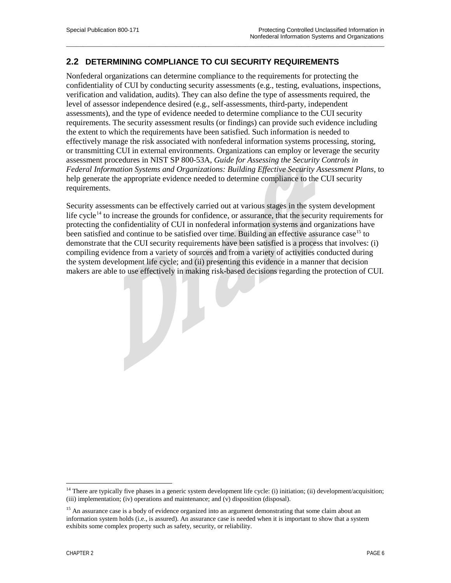### <span id="page-16-0"></span>**2.2 DETERMINING COMPLIANCE TO CUI SECURITY REQUIREMENTS**

Nonfederal organizations can determine compliance to the requirements for protecting the confidentiality of CUI by conducting security assessments (e.g., testing, evaluations, inspections, verification and validation, audits). They can also define the type of assessments required, the level of assessor independence desired (e.g., self-assessments, third-party, independent assessments), and the type of evidence needed to determine compliance to the CUI security requirements. The security assessment results (or findings) can provide such evidence including the extent to which the requirements have been satisfied. Such information is needed to effectively manage the risk associated with nonfederal information systems processing, storing, or transmitting CUI in external environments. Organizations can employ or leverage the security assessment procedures in NIST SP 800-53A, *Guide for Assessing the Security Controls in Federal Information Systems and Organizations: Building Effective Security Assessment Plans*, to help generate the appropriate evidence needed to determine compliance to the CUI security requirements.

 $\overline{\phantom{a}}$  , and the contribution of the contribution of the contribution of the contribution of the contribution of the contribution of the contribution of the contribution of the contribution of the contribution of the

Security assessments can be effectively carried out at various stages in the system development life cycle<sup>[14](#page-16-1)</sup> to increase the grounds for confidence, or assurance, that the security requirements for protecting the confidentiality of CUI in nonfederal information systems and organizations have been satisfied and continue to be satisfied over time. Building an effective assurance case<sup>[15](#page-16-2)</sup> to demonstrate that the CUI security requirements have been satisfied is a process that involves: (i) compiling evidence from a variety of sources and from a variety of activities conducted during the system development life cycle; and (ii) presenting this evidence in a manner that decision makers are able to use effectively in making risk-based decisions regarding the protection of CUI.

<span id="page-16-1"></span> $14$  There are typically five phases in a generic system development life cycle: (i) initiation; (ii) development/acquisition; (iii) implementation; (iv) operations and maintenance; and (v) disposition (disposal).  $\overline{a}$ 

<span id="page-16-2"></span><sup>&</sup>lt;sup>15</sup> An assurance case is a body of evidence organized into an argument demonstrating that some claim about an information system holds (i.e., is assured). An assurance case is needed when it is important to show that a system exhibits some complex property such as safety, security, or reliability.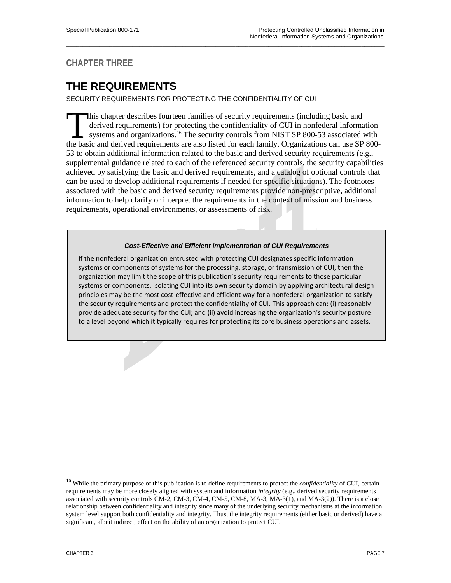# <span id="page-17-0"></span>**CHAPTER THREE**

# **THE REQUIREMENTS**

SECURITY REQUIREMENTS FOR PROTECTING THE CONFIDENTIALITY OF CUI

his chapter describes fourteen families of security requirements (including basic and derived requirements) for protecting the confidentiality of CUI in nonfederal information systems and organizations.<sup>[16](#page-17-1)</sup> The security controls from NIST SP 800-53 associated with This chapter describes fourteen families of security requirements (including basic and derived requirements) for protecting the confidentiality of CUI in nonfederal information systems and organizations.<sup>16</sup> The security c 53 to obtain additional information related to the basic and derived security requirements (e.g., supplemental guidance related to each of the referenced security controls, the security capabilities achieved by satisfying the basic and derived requirements, and a catalog of optional controls that can be used to develop additional requirements if needed for specific situations). The footnotes associated with the basic and derived security requirements provide non-prescriptive, additional information to help clarify or interpret the requirements in the context of mission and business requirements, operational environments, or assessments of risk.

 $\overline{\phantom{a}}$  , and the contribution of the contribution of the contribution of the contribution of the contribution of the contribution of the contribution of the contribution of the contribution of the contribution of the

#### *Cost-Effective and Efficient Implementation of CUI Requirements*

If the nonfederal organization entrusted with protecting CUI designates specific information systems or components of systems for the processing, storage, or transmission of CUI, then the organization may limit the scope of this publication's security requirements to those particular systems or components. Isolating CUI into its own security domain by applying architectural design principles may be the most cost-effective and efficient way for a nonfederal organization to satisfy the security requirements and protect the confidentiality of CUI. This approach can: (i) reasonably provide adequate security for the CUI; and (ii) avoid increasing the organization's security posture to a level beyond which it typically requires for protecting its core business operations and assets.

<span id="page-17-1"></span><sup>&</sup>lt;sup>16</sup> While the primary purpose of this publication is to define requirements to protect the *confidentiality* of CUI, certain requirements may be more closely aligned with system and information *integrity* (e.g., derived security requirements associated with security controls CM-2, CM-3, CM-4, CM-5, CM-8, MA-3, MA-3(1), and MA-3(2)). There is a close relationship between confidentiality and integrity since many of the underlying security mechanisms at the information system level support both confidentiality and integrity. Thus, the integrity requirements (either basic or derived) have a significant, albeit indirect, effect on the ability of an organization to protect CUI.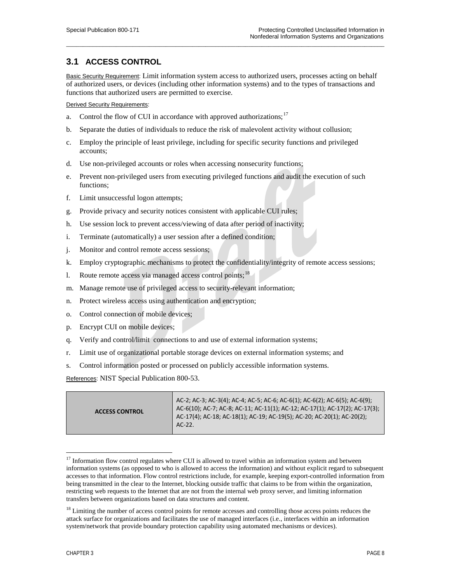# <span id="page-18-0"></span>**3.1 ACCESS CONTROL**

Basic Security Requirement: Limit information system access to authorized users, processes acting on behalf of authorized users, or devices (including other information systems) and to the types of transactions and functions that authorized users are permitted to exercise.

 $\overline{\phantom{a}}$  , and the contribution of the contribution of the contribution of the contribution of the contribution of the contribution of the contribution of the contribution of the contribution of the contribution of the

Derived Security Requirements:

- a. Control the flow of CUI in accordance with approved authorizations;  $17$
- b. Separate the duties of individuals to reduce the risk of malevolent activity without collusion;
- c. Employ the principle of least privilege, including for specific security functions and privileged accounts;
- d. Use non-privileged accounts or roles when accessing nonsecurity functions;
- e. Prevent non-privileged users from executing privileged functions and audit the execution of such functions;
- f. Limit unsuccessful logon attempts;
- g. Provide privacy and security notices consistent with applicable CUI rules;
- h. Use session lock to prevent access/viewing of data after period of inactivity;
- i. Terminate (automatically) a user session after a defined condition;
- j. Monitor and control remote access sessions;
- k. Employ cryptographic mechanisms to protect the confidentiality/integrity of remote access sessions;
- l. Route remote access via managed access control points;<sup>[18](#page-18-2)</sup>
- m. Manage remote use of privileged access to security-relevant information;
- n. Protect wireless access using authentication and encryption;
- o. Control connection of mobile devices;
- p. Encrypt CUI on mobile devices;
- q. Verify and control/limit connections to and use of external information systems;
- r. Limit use of organizational portable storage devices on external information systems; and
- s. Control information posted or processed on publicly accessible information systems.

References: NIST Special Publication 800-53.

| <b>ACCESS CONTROL</b> | AC-2; AC-3; AC-3(4); AC-4; AC-5; AC-6; AC-6(1); AC-6(2); AC-6(5); AC-6(9);<br>AC-6(10); AC-7; AC-8; AC-11; AC-11(1); AC-12; AC-17(1); AC-17(2); AC-17(3);<br>AC-17(4); AC-18; AC-18(1); AC-19; AC-19(5); AC-20; AC-20(1); AC-20(2);<br>$AC-22$ . |
|-----------------------|--------------------------------------------------------------------------------------------------------------------------------------------------------------------------------------------------------------------------------------------------|
|-----------------------|--------------------------------------------------------------------------------------------------------------------------------------------------------------------------------------------------------------------------------------------------|

<span id="page-18-1"></span><sup>&</sup>lt;sup>17</sup> Information flow control regulates where CUI is allowed to travel within an information system and between information systems (as opposed to who is allowed to access the information) and without explicit regard to subsequent accesses to that information. Flow control restrictions include, for example, keeping export-controlled information from being transmitted in the clear to the Internet, blocking outside traffic that claims to be from within the organization, restricting web requests to the Internet that are not from the internal web proxy server, and limiting information transfers between organizations based on data structures and content.

<span id="page-18-2"></span><sup>&</sup>lt;sup>18</sup> Limiting the number of access control points for remote accesses and controlling those access points reduces the attack surface for organizations and facilitates the use of managed interfaces (i.e., interfaces within an information system/network that provide boundary protection capability using automated mechanisms or devices).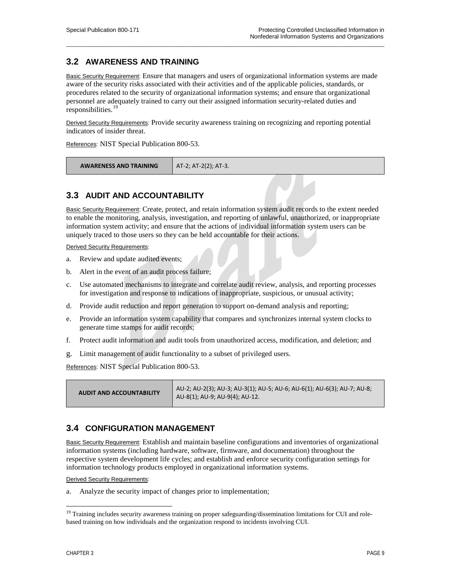### <span id="page-19-0"></span>**3.2 AWARENESS AND TRAINING**

Basic Security Requirement: Ensure that managers and users of organizational information systems are made aware of the security risks associated with their activities and of the applicable policies, standards, or procedures related to the security of organizational information systems; and ensure that organizational personnel are adequately trained to carry out their assigned information security-related duties and responsibilities. $<sup>1</sup>$ </sup>

 $\overline{\phantom{a}}$  , and the contribution of the contribution of the contribution of the contribution of the contribution of the contribution of the contribution of the contribution of the contribution of the contribution of the

Derived Security Requirements: Provide security awareness training on recognizing and reporting potential indicators of insider threat.

References: NIST Special Publication 800-53.

**AWARENESS AND TRAINING** AT-2; AT-2(2); AT-3.

### <span id="page-19-1"></span>**3.3 AUDIT AND ACCOUNTABILITY**

Basic Security Requirement: Create, protect, and retain information system audit records to the extent needed to enable the monitoring, analysis, investigation, and reporting of unlawful, unauthorized, or inappropriate information system activity; and ensure that the actions of individual information system users can be uniquely traced to those users so they can be held accountable for their actions.

Derived Security Requirements:

- a. Review and update audited events;
- b. Alert in the event of an audit process failure;
- c. Use automated mechanisms to integrate and correlate audit review, analysis, and reporting processes for investigation and response to indications of inappropriate, suspicious, or unusual activity;
- d. Provide audit reduction and report generation to support on-demand analysis and reporting;
- e. Provide an information system capability that compares and synchronizes internal system clocks to generate time stamps for audit records;
- f. Protect audit information and audit tools from unauthorized access, modification, and deletion; and
- g. Limit management of audit functionality to a subset of privileged users.

References: NIST Special Publication 800-53.

| <b>AUDIT AND ACCOUNTABILITY</b> | AU-2; AU-2(3); AU-3; AU-3(1); AU-5; AU-6; AU-6(1); AU-6(3); AU-7; AU-8;<br>AU-8(1); AU-9; AU-9(4); AU-12. |
|---------------------------------|-----------------------------------------------------------------------------------------------------------|
|---------------------------------|-----------------------------------------------------------------------------------------------------------|

### <span id="page-19-2"></span>**3.4 CONFIGURATION MANAGEMENT**

Basic Security Requirement: Establish and maintain baseline configurations and inventories of organizational information systems (including hardware, software, firmware, and documentation) throughout the respective system development life cycles; and establish and enforce security configuration settings for information technology products employed in organizational information systems.

Derived Security Requirements:

a. Analyze the security impact of changes prior to implementation;

<span id="page-19-3"></span><sup>&</sup>lt;sup>19</sup> Training includes security awareness training on proper safeguarding/dissemination limitations for CUI and rolebased training on how individuals and the organization respond to incidents involving CUI.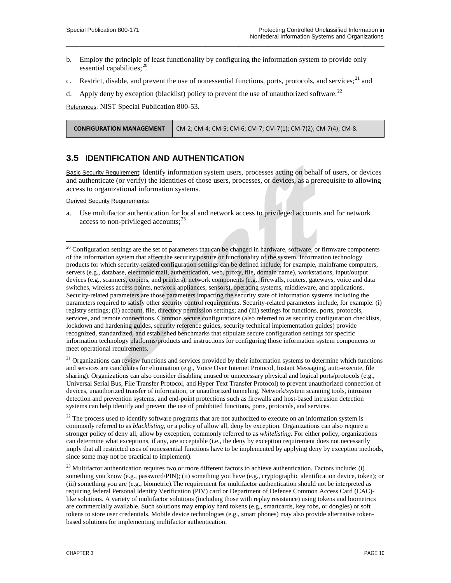b. Employ the principle of least functionality by configuring the information system to provide only essential capabilities; $^{20}$  $^{20}$  $^{20}$ 

 $\overline{\phantom{a}}$  , and the contribution of the contribution of the contribution of the contribution of the contribution of the contribution of the contribution of the contribution of the contribution of the contribution of the

- c. Restrict, disable, and prevent the use of nonessential functions, ports, protocols, and services; $21$  and
- d. Apply deny by exception (blacklist) policy to prevent the use of unauthorized software.<sup>[22](#page-20-3)</sup>

References: NIST Special Publication 800-53.

| <b>CONFIGURATION MANAGEMENT</b> | CM-2; CM-4; CM-5; CM-6; CM-7; CM-7(1); CM-7(2); CM-7(4); CM-8. |
|---------------------------------|----------------------------------------------------------------|
|---------------------------------|----------------------------------------------------------------|

### <span id="page-20-0"></span>**3.5 IDENTIFICATION AND AUTHENTICATION**

Basic Security Requirement: Identify information system users, processes acting on behalf of users, or devices and authenticate (or verify) the identities of those users, processes, or devices, as a prerequisite to allowing access to organizational information systems.

Derived Security Requirements:

 $\overline{a}$ 

a. Use multifactor authentication for local and network access to privileged accounts and for network access to non-privileged accounts;  $2<sup>3</sup>$ 

<span id="page-20-2"></span><sup>21</sup> Organizations can review functions and services provided by their information systems to determine which functions and services are candidates for elimination (e.g., Voice Over Internet Protocol, Instant Messaging, auto-execute, file sharing). Organizations can also consider disabling unused or unnecessary physical and logical ports/protocols (e.g., Universal Serial Bus, File Transfer Protocol, and Hyper Text Transfer Protocol) to prevent unauthorized connection of devices, unauthorized transfer of information, or unauthorized tunneling. Network/system scanning tools, intrusion detection and prevention systems, and end-point protections such as firewalls and host-based intrusion detection systems can help identify and prevent the use of prohibited functions, ports, protocols, and services.

<span id="page-20-1"></span> $20$  Configuration settings are the set of parameters that can be changed in hardware, software, or firmware components of the information system that affect the security posture or functionality of the system. Information technology products for which security-related configuration settings can be defined include, for example, mainframe computers, servers (e.g., database, electronic mail, authentication, web, proxy, file, domain name), workstations, input/output devices (e.g., scanners, copiers, and printers), network components (e.g., firewalls, routers, gateways, voice and data switches, wireless access points, network appliances, sensors), operating systems, middleware, and applications. Security-related parameters are those parameters impacting the security state of information systems including the parameters required to satisfy other security control requirements. Security-related parameters include, for example: (i) registry settings; (ii) account, file, directory permission settings; and (iii) settings for functions, ports, protocols, services, and remote connections. Common secure configurations (also referred to as security configuration checklists, lockdown and hardening guides, security reference guides, security technical implementation guides) provide recognized, standardized, and established benchmarks that stipulate secure configuration settings for specific information technology platforms/products and instructions for configuring those information system components to meet operational requirements.

<span id="page-20-3"></span> $22$  The process used to identify software programs that are not authorized to execute on an information system is commonly referred to as *blacklisting*, or a policy of allow all, deny by exception. Organizations can also require a stronger policy of deny all, allow by exception, commonly referred to as *whitelisting*. For either policy, organizations can determine what exceptions, if any, are acceptable (i.e., the deny by exception requirement does not necessarily imply that all restricted uses of nonessential functions have to be implemented by applying deny by exception methods, since some may not be practical to implement).

<span id="page-20-4"></span> $^{23}$  Multifactor authentication requires two or more different factors to achieve authentication. Factors include: (i) something you know (e.g., password/PIN); (ii) something you have (e.g., cryptographic identification device, token); or (iii) something you are (e.g., biometric).The requirement for multifactor authentication should not be interpreted as requiring federal Personal Identity Verification (PIV) card or Department of Defense Common Access Card (CAC) like solutions. A variety of multifactor solutions (including those with replay resistance) using tokens and biometrics are commercially available. Such solutions may employ hard tokens (e.g., smartcards, key fobs, or dongles) or soft tokens to store user credentials. Mobile device technologies (e.g., smart phones) may also provide alternative tokenbased solutions for implementing multifactor authentication.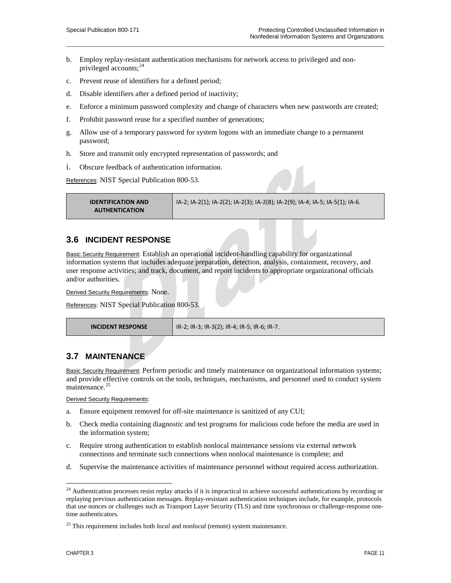- b. Employ replay-resistant authentication mechanisms for network access to privileged and nonprivileged accounts; $^{24}$  $^{24}$  $^{24}$
- c. Prevent reuse of identifiers for a defined period;
- d. Disable identifiers after a defined period of inactivity;
- e. Enforce a minimum password complexity and change of characters when new passwords are created;

- f. Prohibit password reuse for a specified number of generations;
- g. Allow use of a temporary password for system logons with an immediate change to a permanent password;
- h. Store and transmit only encrypted representation of passwords; and
- i. Obscure feedback of authentication information.

References: NIST Special Publication 800-53.

| <b>IDENTIFICATION AND</b> | IA-2; IA-2(1); IA-2(2); IA-2(3); IA-2(8); IA-2(9); IA-4; IA-5; IA-5(1); IA-6. |
|---------------------------|-------------------------------------------------------------------------------|
| <b>AUTHENTICATION</b>     |                                                                               |

### <span id="page-21-0"></span>**3.6 INCIDENT RESPONSE**

Basic Security Requirement: Establish an operational incident-handling capability for organizational information systems that includes adequate preparation, detection, analysis, containment, recovery, and user response activities; and track, document, and report incidents to appropriate organizational officials and/or authorities.

Derived Security Requirements: None.

References: NIST Special Publication 800-53.

**INCIDENT RESPONSE** IR-2; IR-3; IR-3(2); IR-4; IR-5; IR-6; IR-7.

## <span id="page-21-1"></span>**3.7 MAINTENANCE**

Basic Security Requirement: Perform periodic and timely maintenance on organizational information systems; and provide effective controls on the tools, techniques, mechanisms, and personnel used to conduct system maintenance.<sup>[25](#page-21-3)</sup>

Derived Security Requirements:

- a. Ensure equipment removed for off-site maintenance is sanitized of any CUI;
- b. Check media containing diagnostic and test programs for malicious code before the media are used in the information system;
- c. Require strong authentication to establish nonlocal maintenance sessions via external network connections and terminate such connections when nonlocal maintenance is complete; and
- d. Supervise the maintenance activities of maintenance personnel without required access authorization.

<span id="page-21-2"></span> $24$  Authentication processes resist replay attacks if it is impractical to achieve successful authentications by recording or replaying previous authentication messages. Replay-resistant authentication techniques include, for example, protocols that use nonces or challenges such as Transport Layer Security (TLS) and time synchronous or challenge-response onetime authenticators.

<span id="page-21-3"></span><sup>25</sup> This requirement includes both *local* and *nonlocal* (remote) system maintenance.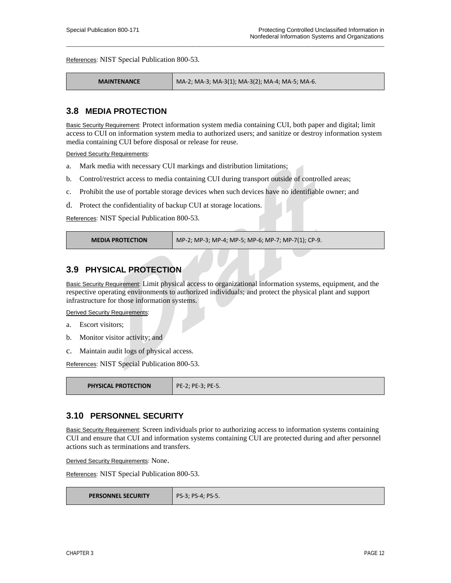References: NIST Special Publication 800-53.

**MAINTENANCE** MA-2; MA-3; MA-3(1); MA-3(2); MA-4; MA-5; MA-6.

### <span id="page-22-0"></span>**3.8 MEDIA PROTECTION**

Basic Security Requirement: Protect information system media containing CUI, both paper and digital; limit access to CUI on information system media to authorized users; and sanitize or destroy information system media containing CUI before disposal or release for reuse.

 $\overline{\phantom{a}}$  , and the contribution of the contribution of the contribution of the contribution of the contribution of the contribution of the contribution of the contribution of the contribution of the contribution of the

Derived Security Requirements:

- a. Mark media with necessary CUI markings and distribution limitations;
- b. Control/restrict access to media containing CUI during transport outside of controlled areas;
- c. Prohibit the use of portable storage devices when such devices have no identifiable owner; and
- d. Protect the confidentiality of backup CUI at storage locations.

References: NIST Special Publication 800-53.

| MP-2; MP-3; MP-4; MP-5; MP-6; MP-7; MP-7(1); CP-9.<br><b>MEDIA PROTECTION</b> |
|-------------------------------------------------------------------------------|
|-------------------------------------------------------------------------------|

### <span id="page-22-1"></span>**3.9 PHYSICAL PROTECTION**

Basic Security Requirement: Limit physical access to organizational information systems, equipment, and the respective operating environments to authorized individuals; and protect the physical plant and support infrastructure for those information systems.

Derived Security Requirements:

- a. Escort visitors;
- b. Monitor visitor activity; and
- c. Maintain audit logs of physical access.

References: NIST Special Publication 800-53.

| PHYSICAL PROTECTION | PE-2; PE-3; PE-5. |
|---------------------|-------------------|
|---------------------|-------------------|

#### <span id="page-22-2"></span>**3.10 PERSONNEL SECURITY**

Basic Security Requirement: Screen individuals prior to authorizing access to information systems containing CUI and ensure that CUI and information systems containing CUI are protected during and after personnel actions such as terminations and transfers.

Derived Security Requirements: None.

References: NIST Special Publication 800-53.

```
PERSONNEL SECURITY PS-3; PS-4; PS-5.
```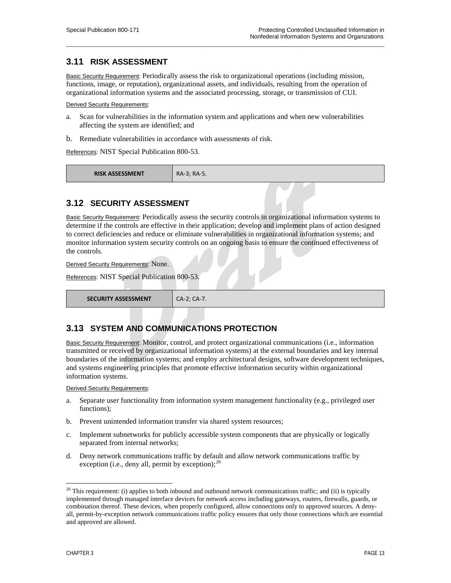### <span id="page-23-0"></span>**3.11 RISK ASSESSMENT**

Basic Security Requirement: Periodically assess the risk to organizational operations (including mission, functions, image, or reputation), organizational assets, and individuals, resulting from the operation of organizational information systems and the associated processing, storage, or transmission of CUI.

 $\overline{\phantom{a}}$  , and the contribution of the contribution of the contribution of the contribution of the contribution of the contribution of the contribution of the contribution of the contribution of the contribution of the

Derived Security Requirements:

- a. Scan for vulnerabilities in the information system and applications and when new vulnerabilities affecting the system are identified; and
- b. Remediate vulnerabilities in accordance with assessments of risk.

References: NIST Special Publication 800-53.

**RISK ASSESSMENT** RA-3: RA-5.

### <span id="page-23-1"></span>**3.12 SECURITY ASSESSMENT**

Basic Security Requirement: Periodically assess the security controls in organizational information systems to determine if the controls are effective in their application; develop and implement plans of action designed to correct deficiencies and reduce or eliminate vulnerabilities in organizational information systems; and monitor information system security controls on an ongoing basis to ensure the continued effectiveness of the controls.

Derived Security Requirements: None.

References: NIST Special Publication 800-53.

**SECURITY ASSESSMENT** CA-2; CA-7.

## <span id="page-23-2"></span>**3.13 SYSTEM AND COMMUNICATIONS PROTECTION**

Basic Security Requirement: Monitor, control, and protect organizational communications (i.e., information transmitted or received by organizational information systems) at the external boundaries and key internal boundaries of the information systems; and employ architectural designs, software development techniques, and systems engineering principles that promote effective information security within organizational information systems.

Derived Security Requirements:

- a. Separate user functionality from information system management functionality (e.g., privileged user functions);
- b. Prevent unintended information transfer via shared system resources;
- c. Implement subnetworks for publicly accessible system components that are physically or logically separated from internal networks;
- d. Deny network communications traffic by default and allow network communications traffic by exception (i.e., deny all, permit by exception);  $^{26}$  $^{26}$  $^{26}$

<span id="page-23-3"></span> $^{26}$  This requirement: (i) applies to both inbound and outbound network communications traffic; and (ii) is typically implemented through managed interface devices for network access including gateways, routers, firewalls, guards, or combination thereof. These devices, when properly configured, allow connections only to approved sources. A denyall, permit-by-exception network communications traffic policy ensures that only those connections which are essential and approved are allowed.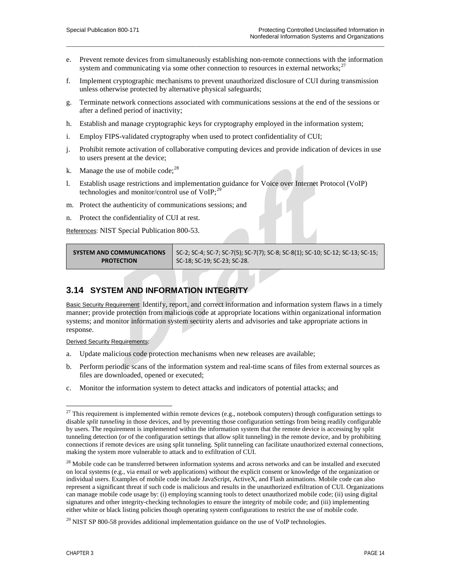e. Prevent remote devices from simultaneously establishing non-remote connections with the information system and communicating via some other connection to resources in external networks; $^{27}$  $^{27}$  $^{27}$ 

 $\overline{\phantom{a}}$  , and the contribution of the contribution of the contribution of the contribution of the contribution of the contribution of the contribution of the contribution of the contribution of the contribution of the

- f. Implement cryptographic mechanisms to prevent unauthorized disclosure of CUI during transmission unless otherwise protected by alternative physical safeguards;
- g. Terminate network connections associated with communications sessions at the end of the sessions or after a defined period of inactivity;
- h. Establish and manage cryptographic keys for cryptography employed in the information system;
- i. Employ FIPS-validated cryptography when used to protect confidentiality of CUI;
- j. Prohibit remote activation of collaborative computing devices and provide indication of devices in use to users present at the device;
- k. Manage the use of mobile  $code;^{28}$  $code;^{28}$  $code;^{28}$
- l. Establish usage restrictions and implementation guidance for Voice over Internet Protocol (VoIP) technologies and monitor/control use of  $VoIP;^{29}$  $VoIP;^{29}$  $VoIP;^{29}$
- m. Protect the authenticity of communications sessions; and
- n. Protect the confidentiality of CUI at rest.

References: NIST Special Publication 800-53.

| <b>SYSTEM AND COMMUNICATIONS</b> | SC-2; SC-4; SC-7; SC-7(5); SC-7(7); SC-8; SC-8(1); SC-10; SC-12; SC-13; SC-15; |
|----------------------------------|--------------------------------------------------------------------------------|
| <b>PROTECTION</b>                | SC-18; SC-19; SC-23; SC-28.                                                    |

### <span id="page-24-0"></span>**3.14 SYSTEM AND INFORMATION INTEGRITY**

Basic Security Requirement: Identify, report, and correct information and information system flaws in a timely manner; provide protection from malicious code at appropriate locations within organizational information systems; and monitor information system security alerts and advisories and take appropriate actions in response.

Derived Security Requirements:

- a. Update malicious code protection mechanisms when new releases are available;
- b. Perform periodic scans of the information system and real-time scans of files from external sources as files are downloaded, opened or executed;
- c. Monitor the information system to detect attacks and indicators of potential attacks; and

<span id="page-24-1"></span> $27$  This requirement is implemented within remote devices (e.g., notebook computers) through configuration settings to disable *split tunneling* in those devices, and by preventing those configuration settings from being readily configurable by users. The requirement is implemented within the information system that the remote device is accessing by split tunneling detection (or of the configuration settings that allow split tunneling) in the remote device, and by prohibiting connections if remote devices are using split tunneling. Split tunneling can facilitate unauthorized external connections, making the system more vulnerable to attack and to exfiltration of CUI.

<span id="page-24-2"></span> $28$  Mobile code can be transferred between information systems and across networks and can be installed and executed on local systems (e.g., via email or web applications) without the explicit consent or knowledge of the organization or individual users. Examples of mobile code include JavaScript, ActiveX, and Flash animations. Mobile code can also represent a significant threat if such code is malicious and results in the unauthorized exfiltration of CUI. Organizations can manage mobile code usage by: (i) employing scanning tools to detect unauthorized mobile code; (ii) using digital signatures and other integrity-checking technologies to ensure the integrity of mobile code; and (iii) implementing either white or black listing policies though operating system configurations to restrict the use of mobile code.

<span id="page-24-3"></span><sup>&</sup>lt;sup>29</sup> NIST SP 800-58 provides additional implementation guidance on the use of VoIP technologies.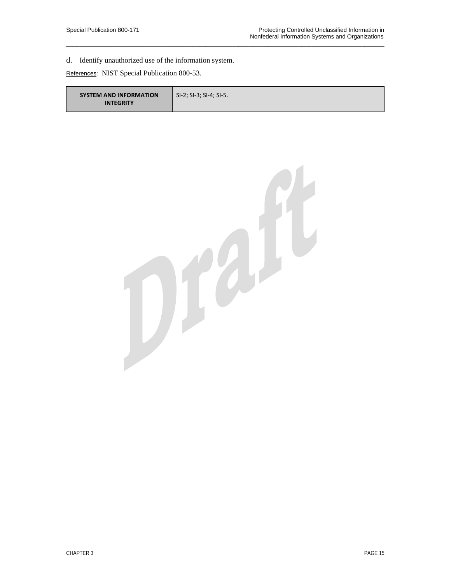d. Identify unauthorized use of the information system.

References: NIST Special Publication 800-53.

| <b>SYSTEM AND INFORMATION</b><br><b>INTEGRITY</b> | SI-2; SI-3; SI-4; SI-5. |
|---------------------------------------------------|-------------------------|
|---------------------------------------------------|-------------------------|

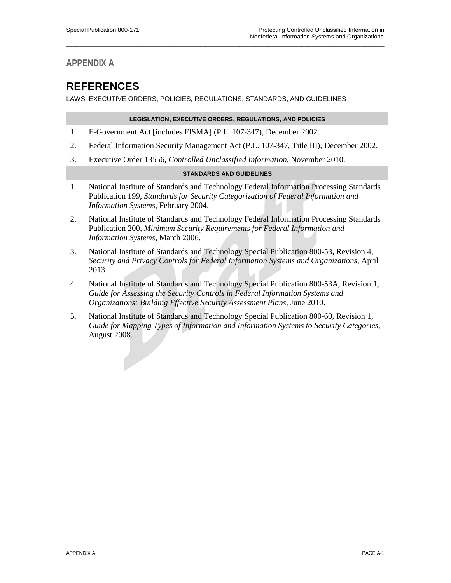# <span id="page-26-0"></span>**APPENDIX A**

# **REFERENCES**

LAWS, EXECUTIVE ORDERS, POLICIES, REGULATIONS, STANDARDS, AND GUIDELINES

#### **LEGISLATION, EXECUTIVE ORDERS, REGULATIONS, AND POLICIES**

 $\overline{\phantom{a}}$  , and the contribution of the contribution of the contribution of the contribution of the contribution of the contribution of the contribution of the contribution of the contribution of the contribution of the

- 1. E-Government Act [includes FISMA] (P.L. 107-347), December 2002.
- 2. Federal Information Security Management Act (P.L. 107-347, Title III), December 2002.
- 3. Executive Order 13556, *Controlled Unclassified Information*, November 2010.

#### **STANDARDS AND GUIDELINES**

- 1. National Institute of Standards and Technology Federal Information Processing Standards Publication 199, *Standards for Security Categorization of Federal Information and Information Systems*, February 2004.
- 2. National Institute of Standards and Technology Federal Information Processing Standards Publication 200, *Minimum Security Requirements for Federal Information and Information Systems*, March 2006.
- 3. National Institute of Standards and Technology Special Publication 800-53, Revision 4, *Security and Privacy Controls for Federal Information Systems and Organizations*, April 2013.
- 4. National Institute of Standards and Technology Special Publication 800-53A, Revision 1, *Guide for Assessing the Security Controls in Federal Information Systems and Organizations: Building Effective Security Assessment Plans*, June 2010.
- 5. National Institute of Standards and Technology Special Publication 800-60, Revision 1, *Guide for Mapping Types of Information and Information Systems to Security Categories*, August 2008.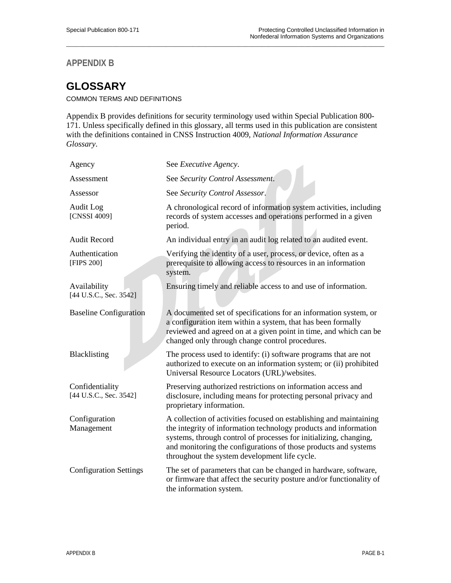# <span id="page-27-0"></span>**APPENDIX B**

# **GLOSSARY**

COMMON TERMS AND DEFINITIONS

Appendix B provides definitions for security terminology used within Special Publication 800- 171. Unless specifically defined in this glossary, all terms used in this publication are consistent with the definitions contained in CNSS Instruction 4009, *National Information Assurance Glossary*.

| Agency                                    | See Executive Agency.                                                                                                                                                                                                                                                                                                           |
|-------------------------------------------|---------------------------------------------------------------------------------------------------------------------------------------------------------------------------------------------------------------------------------------------------------------------------------------------------------------------------------|
| Assessment                                | See Security Control Assessment.                                                                                                                                                                                                                                                                                                |
| Assessor                                  | See Security Control Assessor.                                                                                                                                                                                                                                                                                                  |
| Audit Log<br>[CNSSI 4009]                 | A chronological record of information system activities, including<br>records of system accesses and operations performed in a given<br>period.                                                                                                                                                                                 |
| <b>Audit Record</b>                       | An individual entry in an audit log related to an audited event.                                                                                                                                                                                                                                                                |
| Authentication<br>[FIPS 200]              | Verifying the identity of a user, process, or device, often as a<br>prerequisite to allowing access to resources in an information<br>system.                                                                                                                                                                                   |
| Availability<br>[44 U.S.C., Sec. 3542]    | Ensuring timely and reliable access to and use of information.                                                                                                                                                                                                                                                                  |
| <b>Baseline Configuration</b>             | A documented set of specifications for an information system, or<br>a configuration item within a system, that has been formally<br>reviewed and agreed on at a given point in time, and which can be<br>changed only through change control procedures.                                                                        |
| Blacklisting                              | The process used to identify: (i) software programs that are not<br>authorized to execute on an information system; or (ii) prohibited<br>Universal Resource Locators (URL)/websites.                                                                                                                                           |
| Confidentiality<br>[44 U.S.C., Sec. 3542] | Preserving authorized restrictions on information access and<br>disclosure, including means for protecting personal privacy and<br>proprietary information.                                                                                                                                                                     |
| Configuration<br>Management               | A collection of activities focused on establishing and maintaining<br>the integrity of information technology products and information<br>systems, through control of processes for initializing, changing,<br>and monitoring the configurations of those products and systems<br>throughout the system development life cycle. |
| <b>Configuration Settings</b>             | The set of parameters that can be changed in hardware, software,<br>or firmware that affect the security posture and/or functionality of<br>the information system.                                                                                                                                                             |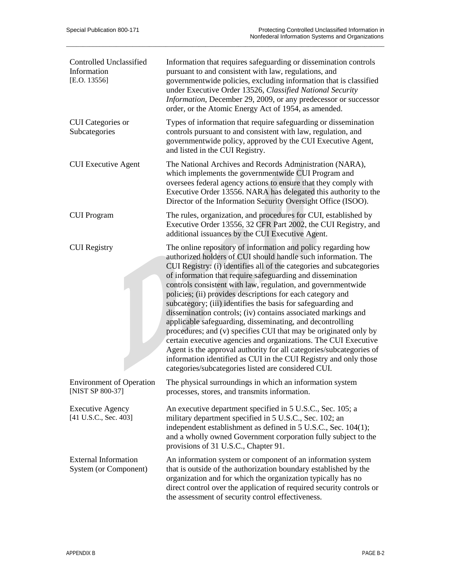| <b>Controlled Unclassified</b><br>Information<br>[E.O. 13556] | Information that requires safeguarding or dissemination controls<br>pursuant to and consistent with law, regulations, and<br>governmentwide policies, excluding information that is classified<br>under Executive Order 13526, Classified National Security<br>Information, December 29, 2009, or any predecessor or successor<br>order, or the Atomic Energy Act of 1954, as amended.                                                                                                                                                                                                                                                                                                                                                                                                                                                                                                                                                    |
|---------------------------------------------------------------|-------------------------------------------------------------------------------------------------------------------------------------------------------------------------------------------------------------------------------------------------------------------------------------------------------------------------------------------------------------------------------------------------------------------------------------------------------------------------------------------------------------------------------------------------------------------------------------------------------------------------------------------------------------------------------------------------------------------------------------------------------------------------------------------------------------------------------------------------------------------------------------------------------------------------------------------|
| <b>CUI</b> Categories or<br>Subcategories                     | Types of information that require safeguarding or dissemination<br>controls pursuant to and consistent with law, regulation, and<br>governmentwide policy, approved by the CUI Executive Agent,<br>and listed in the CUI Registry.                                                                                                                                                                                                                                                                                                                                                                                                                                                                                                                                                                                                                                                                                                        |
| <b>CUI Executive Agent</b>                                    | The National Archives and Records Administration (NARA),<br>which implements the governmentwide CUI Program and<br>oversees federal agency actions to ensure that they comply with<br>Executive Order 13556. NARA has delegated this authority to the<br>Director of the Information Security Oversight Office (ISOO).                                                                                                                                                                                                                                                                                                                                                                                                                                                                                                                                                                                                                    |
| <b>CUI</b> Program                                            | The rules, organization, and procedures for CUI, established by<br>Executive Order 13556, 32 CFR Part 2002, the CUI Registry, and<br>additional issuances by the CUI Executive Agent.                                                                                                                                                                                                                                                                                                                                                                                                                                                                                                                                                                                                                                                                                                                                                     |
| <b>CUI</b> Registry                                           | The online repository of information and policy regarding how<br>authorized holders of CUI should handle such information. The<br>CUI Registry: (i) identifies all of the categories and subcategories<br>of information that require safeguarding and dissemination<br>controls consistent with law, regulation, and governmentwide<br>policies; (ii) provides descriptions for each category and<br>subcategory; (iii) identifies the basis for safeguarding and<br>dissemination controls; (iv) contains associated markings and<br>applicable safeguarding, disseminating, and decontrolling<br>procedures; and (v) specifies CUI that may be originated only by<br>certain executive agencies and organizations. The CUI Executive<br>Agent is the approval authority for all categories/subcategories of<br>information identified as CUI in the CUI Registry and only those<br>categories/subcategories listed are considered CUI. |
| <b>Environment of Operation</b><br>[NIST SP 800-37]           | The physical surroundings in which an information system<br>processes, stores, and transmits information.                                                                                                                                                                                                                                                                                                                                                                                                                                                                                                                                                                                                                                                                                                                                                                                                                                 |
| <b>Executive Agency</b><br>[41 U.S.C., Sec. 403]              | An executive department specified in 5 U.S.C., Sec. 105; a<br>military department specified in 5 U.S.C., Sec. 102; an<br>independent establishment as defined in 5 U.S.C., Sec. 104(1);<br>and a wholly owned Government corporation fully subject to the<br>provisions of 31 U.S.C., Chapter 91.                                                                                                                                                                                                                                                                                                                                                                                                                                                                                                                                                                                                                                         |
| <b>External Information</b><br>System (or Component)          | An information system or component of an information system<br>that is outside of the authorization boundary established by the<br>organization and for which the organization typically has no<br>direct control over the application of required security controls or<br>the assessment of security control effectiveness.                                                                                                                                                                                                                                                                                                                                                                                                                                                                                                                                                                                                              |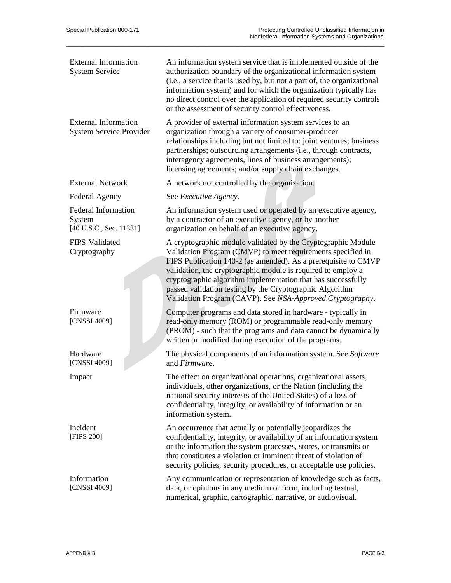| <b>External Information</b><br><b>System Service</b>            | An information system service that is implemented outside of the<br>authorization boundary of the organizational information system<br>(i.e., a service that is used by, but not a part of, the organizational<br>information system) and for which the organization typically has<br>no direct control over the application of required security controls<br>or the assessment of security control effectiveness.                                     |
|-----------------------------------------------------------------|--------------------------------------------------------------------------------------------------------------------------------------------------------------------------------------------------------------------------------------------------------------------------------------------------------------------------------------------------------------------------------------------------------------------------------------------------------|
| <b>External Information</b><br><b>System Service Provider</b>   | A provider of external information system services to an<br>organization through a variety of consumer-producer<br>relationships including but not limited to: joint ventures; business<br>partnerships; outsourcing arrangements (i.e., through contracts,<br>interagency agreements, lines of business arrangements);<br>licensing agreements; and/or supply chain exchanges.                                                                        |
| <b>External Network</b>                                         | A network not controlled by the organization.                                                                                                                                                                                                                                                                                                                                                                                                          |
| <b>Federal Agency</b>                                           | See Executive Agency.                                                                                                                                                                                                                                                                                                                                                                                                                                  |
| <b>Federal Information</b><br>System<br>[40 U.S.C., Sec. 11331] | An information system used or operated by an executive agency,<br>by a contractor of an executive agency, or by another<br>organization on behalf of an executive agency.                                                                                                                                                                                                                                                                              |
| FIPS-Validated<br>Cryptography                                  | A cryptographic module validated by the Cryptographic Module<br>Validation Program (CMVP) to meet requirements specified in<br>FIPS Publication 140-2 (as amended). As a prerequisite to CMVP<br>validation, the cryptographic module is required to employ a<br>cryptographic algorithm implementation that has successfully<br>passed validation testing by the Cryptographic Algorithm<br>Validation Program (CAVP). See NSA-Approved Cryptography. |
| Firmware<br>[CNSSI 4009]                                        | Computer programs and data stored in hardware - typically in<br>read-only memory (ROM) or programmable read-only memory<br>(PROM) - such that the programs and data cannot be dynamically<br>written or modified during execution of the programs.                                                                                                                                                                                                     |
| Hardware<br>[CNSSI 4009]                                        | The physical components of an information system. See Software<br>and Firmware.                                                                                                                                                                                                                                                                                                                                                                        |
| Impact                                                          | The effect on organizational operations, organizational assets,<br>individuals, other organizations, or the Nation (including the<br>national security interests of the United States) of a loss of<br>confidentiality, integrity, or availability of information or an<br>information system.                                                                                                                                                         |
| Incident<br>[FIPS 200]                                          | An occurrence that actually or potentially jeopardizes the<br>confidentiality, integrity, or availability of an information system<br>or the information the system processes, stores, or transmits or<br>that constitutes a violation or imminent threat of violation of<br>security policies, security procedures, or acceptable use policies.                                                                                                       |
| Information<br>[CNSSI 4009]                                     | Any communication or representation of knowledge such as facts,<br>data, or opinions in any medium or form, including textual,<br>numerical, graphic, cartographic, narrative, or audiovisual.                                                                                                                                                                                                                                                         |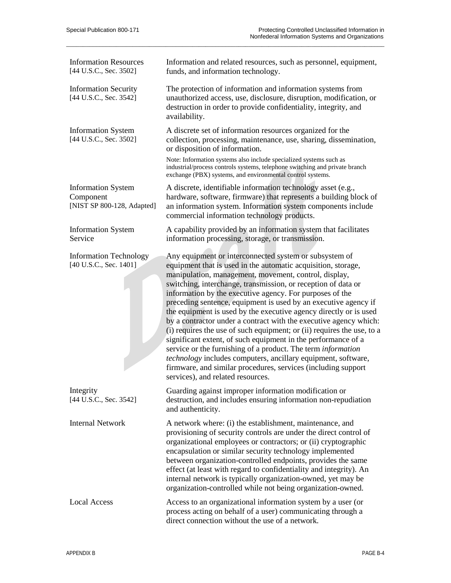| <b>Information Resources</b><br>[44 U.S.C., Sec. 3502]               | Information and related resources, such as personnel, equipment,<br>funds, and information technology.                                                                                                                                                                                                                                                                                                                                                                                                                                                                                                                                                                                                                                                                                                                                                                                                              |
|----------------------------------------------------------------------|---------------------------------------------------------------------------------------------------------------------------------------------------------------------------------------------------------------------------------------------------------------------------------------------------------------------------------------------------------------------------------------------------------------------------------------------------------------------------------------------------------------------------------------------------------------------------------------------------------------------------------------------------------------------------------------------------------------------------------------------------------------------------------------------------------------------------------------------------------------------------------------------------------------------|
| <b>Information Security</b><br>[44 U.S.C., Sec. 3542]                | The protection of information and information systems from<br>unauthorized access, use, disclosure, disruption, modification, or<br>destruction in order to provide confidentiality, integrity, and<br>availability.                                                                                                                                                                                                                                                                                                                                                                                                                                                                                                                                                                                                                                                                                                |
| <b>Information System</b><br>[44 U.S.C., Sec. 3502]                  | A discrete set of information resources organized for the<br>collection, processing, maintenance, use, sharing, dissemination,<br>or disposition of information.                                                                                                                                                                                                                                                                                                                                                                                                                                                                                                                                                                                                                                                                                                                                                    |
|                                                                      | Note: Information systems also include specialized systems such as<br>industrial/process controls systems, telephone switching and private branch<br>exchange (PBX) systems, and environmental control systems.                                                                                                                                                                                                                                                                                                                                                                                                                                                                                                                                                                                                                                                                                                     |
| <b>Information System</b><br>Component<br>[NIST SP 800-128, Adapted] | A discrete, identifiable information technology asset (e.g.,<br>hardware, software, firmware) that represents a building block of<br>an information system. Information system components include<br>commercial information technology products.                                                                                                                                                                                                                                                                                                                                                                                                                                                                                                                                                                                                                                                                    |
| <b>Information System</b><br>Service                                 | A capability provided by an information system that facilitates<br>information processing, storage, or transmission.                                                                                                                                                                                                                                                                                                                                                                                                                                                                                                                                                                                                                                                                                                                                                                                                |
| <b>Information Technology</b><br>$[40 \text{ U.S.C., Sec. } 1401]$   | Any equipment or interconnected system or subsystem of<br>equipment that is used in the automatic acquisition, storage,<br>manipulation, management, movement, control, display,<br>switching, interchange, transmission, or reception of data or<br>information by the executive agency. For purposes of the<br>preceding sentence, equipment is used by an executive agency if<br>the equipment is used by the executive agency directly or is used<br>by a contractor under a contract with the executive agency which:<br>(i) requires the use of such equipment; or (ii) requires the use, to a<br>significant extent, of such equipment in the performance of a<br>service or the furnishing of a product. The term <i>information</i><br>technology includes computers, ancillary equipment, software,<br>firmware, and similar procedures, services (including support<br>services), and related resources. |
| Integrity<br>[44 U.S.C., Sec. 3542]                                  | Guarding against improper information modification or<br>destruction, and includes ensuring information non-repudiation<br>and authenticity.                                                                                                                                                                                                                                                                                                                                                                                                                                                                                                                                                                                                                                                                                                                                                                        |
| <b>Internal Network</b>                                              | A network where: (i) the establishment, maintenance, and<br>provisioning of security controls are under the direct control of<br>organizational employees or contractors; or (ii) cryptographic<br>encapsulation or similar security technology implemented<br>between organization-controlled endpoints, provides the same<br>effect (at least with regard to confidentiality and integrity). An<br>internal network is typically organization-owned, yet may be<br>organization-controlled while not being organization-owned.                                                                                                                                                                                                                                                                                                                                                                                    |
| <b>Local Access</b>                                                  | Access to an organizational information system by a user (or<br>process acting on behalf of a user) communicating through a<br>direct connection without the use of a network.                                                                                                                                                                                                                                                                                                                                                                                                                                                                                                                                                                                                                                                                                                                                      |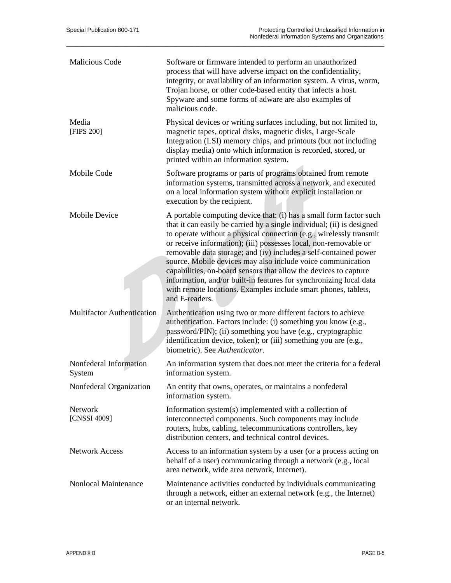| <b>Malicious Code</b>             | Software or firmware intended to perform an unauthorized<br>process that will have adverse impact on the confidentiality,<br>integrity, or availability of an information system. A virus, worm,<br>Trojan horse, or other code-based entity that infects a host.<br>Spyware and some forms of adware are also examples of<br>malicious code.                                                                                                                                                                                                                                                                                                            |
|-----------------------------------|----------------------------------------------------------------------------------------------------------------------------------------------------------------------------------------------------------------------------------------------------------------------------------------------------------------------------------------------------------------------------------------------------------------------------------------------------------------------------------------------------------------------------------------------------------------------------------------------------------------------------------------------------------|
| Media<br>[FIPS 200]               | Physical devices or writing surfaces including, but not limited to,<br>magnetic tapes, optical disks, magnetic disks, Large-Scale<br>Integration (LSI) memory chips, and printouts (but not including<br>display media) onto which information is recorded, stored, or<br>printed within an information system.                                                                                                                                                                                                                                                                                                                                          |
| Mobile Code                       | Software programs or parts of programs obtained from remote<br>information systems, transmitted across a network, and executed<br>on a local information system without explicit installation or<br>execution by the recipient.                                                                                                                                                                                                                                                                                                                                                                                                                          |
| <b>Mobile Device</b>              | A portable computing device that: (i) has a small form factor such<br>that it can easily be carried by a single individual; (ii) is designed<br>to operate without a physical connection (e.g., wirelessly transmit<br>or receive information); (iii) possesses local, non-removable or<br>removable data storage; and (iv) includes a self-contained power<br>source. Mobile devices may also include voice communication<br>capabilities, on-board sensors that allow the devices to capture<br>information, and/or built-in features for synchronizing local data<br>with remote locations. Examples include smart phones, tablets,<br>and E-readers. |
| <b>Multifactor Authentication</b> | Authentication using two or more different factors to achieve<br>authentication. Factors include: (i) something you know (e.g.,<br>password/PIN); (ii) something you have (e.g., cryptographic<br>identification device, token); or (iii) something you are (e.g.,<br>biometric). See Authenticator.                                                                                                                                                                                                                                                                                                                                                     |
| Nonfederal Information<br>System  | An information system that does not meet the criteria for a federal<br>information system.                                                                                                                                                                                                                                                                                                                                                                                                                                                                                                                                                               |
| Nonfederal Organization           | An entity that owns, operates, or maintains a nonfederal<br>information system.                                                                                                                                                                                                                                                                                                                                                                                                                                                                                                                                                                          |
| Network<br>[CNSSI 4009]           | Information system(s) implemented with a collection of<br>interconnected components. Such components may include<br>routers, hubs, cabling, telecommunications controllers, key<br>distribution centers, and technical control devices.                                                                                                                                                                                                                                                                                                                                                                                                                  |
| <b>Network Access</b>             | Access to an information system by a user (or a process acting on<br>behalf of a user) communicating through a network (e.g., local<br>area network, wide area network, Internet).                                                                                                                                                                                                                                                                                                                                                                                                                                                                       |
| Nonlocal Maintenance              | Maintenance activities conducted by individuals communicating<br>through a network, either an external network (e.g., the Internet)<br>or an internal network.                                                                                                                                                                                                                                                                                                                                                                                                                                                                                           |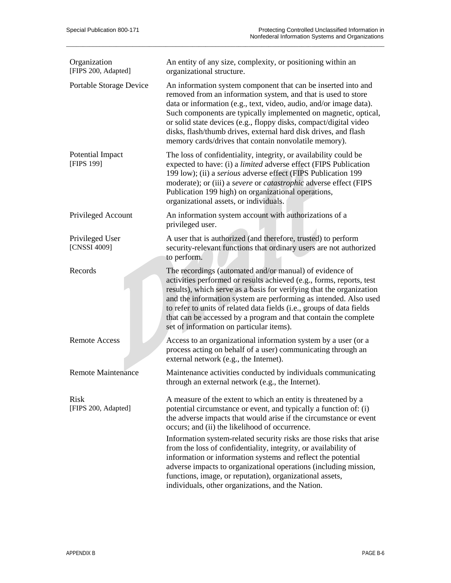| Organization<br>[FIPS 200, Adapted] | An entity of any size, complexity, or positioning within an<br>organizational structure.                                                                                                                                                                                                                                                                                                                                                                                 |
|-------------------------------------|--------------------------------------------------------------------------------------------------------------------------------------------------------------------------------------------------------------------------------------------------------------------------------------------------------------------------------------------------------------------------------------------------------------------------------------------------------------------------|
| Portable Storage Device             | An information system component that can be inserted into and<br>removed from an information system, and that is used to store<br>data or information (e.g., text, video, audio, and/or image data).<br>Such components are typically implemented on magnetic, optical,<br>or solid state devices (e.g., floppy disks, compact/digital video<br>disks, flash/thumb drives, external hard disk drives, and flash<br>memory cards/drives that contain nonvolatile memory). |
| Potential Impact<br>[FIPS 199]      | The loss of confidentiality, integrity, or availability could be<br>expected to have: (i) a <i>limited</i> adverse effect (FIPS Publication<br>199 low); (ii) a serious adverse effect (FIPS Publication 199<br>moderate); or (iii) a severe or catastrophic adverse effect (FIPS<br>Publication 199 high) on organizational operations,<br>organizational assets, or individuals.                                                                                       |
| Privileged Account                  | An information system account with authorizations of a<br>privileged user.                                                                                                                                                                                                                                                                                                                                                                                               |
| Privileged User<br>[CNSSI 4009]     | A user that is authorized (and therefore, trusted) to perform<br>security-relevant functions that ordinary users are not authorized<br>to perform.                                                                                                                                                                                                                                                                                                                       |
| Records                             | The recordings (automated and/or manual) of evidence of<br>activities performed or results achieved (e.g., forms, reports, test<br>results), which serve as a basis for verifying that the organization<br>and the information system are performing as intended. Also used<br>to refer to units of related data fields (i.e., groups of data fields<br>that can be accessed by a program and that contain the complete<br>set of information on particular items).      |
| <b>Remote Access</b>                | Access to an organizational information system by a user (or a<br>process acting on behalf of a user) communicating through an<br>external network (e.g., the Internet).                                                                                                                                                                                                                                                                                                 |
| <b>Remote Maintenance</b>           | Maintenance activities conducted by individuals communicating<br>through an external network (e.g., the Internet).                                                                                                                                                                                                                                                                                                                                                       |
| Risk<br>[FIPS 200, Adapted]         | A measure of the extent to which an entity is threatened by a<br>potential circumstance or event, and typically a function of: (i)<br>the adverse impacts that would arise if the circumstance or event<br>occurs; and (ii) the likelihood of occurrence.                                                                                                                                                                                                                |
|                                     | Information system-related security risks are those risks that arise<br>from the loss of confidentiality, integrity, or availability of<br>information or information systems and reflect the potential<br>adverse impacts to organizational operations (including mission,<br>functions, image, or reputation), organizational assets,<br>individuals, other organizations, and the Nation.                                                                             |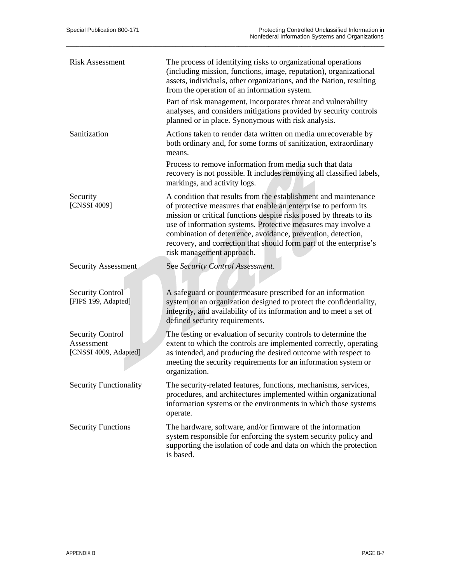| <b>Risk Assessment</b>                                         | The process of identifying risks to organizational operations<br>(including mission, functions, image, reputation), organizational<br>assets, individuals, other organizations, and the Nation, resulting<br>from the operation of an information system.                                                                                                                                                                                     |
|----------------------------------------------------------------|-----------------------------------------------------------------------------------------------------------------------------------------------------------------------------------------------------------------------------------------------------------------------------------------------------------------------------------------------------------------------------------------------------------------------------------------------|
|                                                                | Part of risk management, incorporates threat and vulnerability<br>analyses, and considers mitigations provided by security controls<br>planned or in place. Synonymous with risk analysis.                                                                                                                                                                                                                                                    |
| Sanitization                                                   | Actions taken to render data written on media unrecoverable by<br>both ordinary and, for some forms of sanitization, extraordinary<br>means.                                                                                                                                                                                                                                                                                                  |
|                                                                | Process to remove information from media such that data<br>recovery is not possible. It includes removing all classified labels,<br>markings, and activity logs.                                                                                                                                                                                                                                                                              |
| Security<br>[CNSSI 4009]                                       | A condition that results from the establishment and maintenance<br>of protective measures that enable an enterprise to perform its<br>mission or critical functions despite risks posed by threats to its<br>use of information systems. Protective measures may involve a<br>combination of deterrence, avoidance, prevention, detection,<br>recovery, and correction that should form part of the enterprise's<br>risk management approach. |
| <b>Security Assessment</b>                                     | See Security Control Assessment.                                                                                                                                                                                                                                                                                                                                                                                                              |
| Security Control<br>[FIPS 199, Adapted]                        | A safeguard or countermeasure prescribed for an information<br>system or an organization designed to protect the confidentiality,<br>integrity, and availability of its information and to meet a set of<br>defined security requirements.                                                                                                                                                                                                    |
| <b>Security Control</b><br>Assessment<br>[CNSSI 4009, Adapted] | The testing or evaluation of security controls to determine the<br>extent to which the controls are implemented correctly, operating<br>as intended, and producing the desired outcome with respect to<br>meeting the security requirements for an information system or<br>organization.                                                                                                                                                     |
| <b>Security Functionality</b>                                  | The security-related features, functions, mechanisms, services,<br>procedures, and architectures implemented within organizational<br>information systems or the environments in which those systems<br>operate.                                                                                                                                                                                                                              |
| <b>Security Functions</b>                                      | The hardware, software, and/or firmware of the information<br>system responsible for enforcing the system security policy and<br>supporting the isolation of code and data on which the protection<br>is based.                                                                                                                                                                                                                               |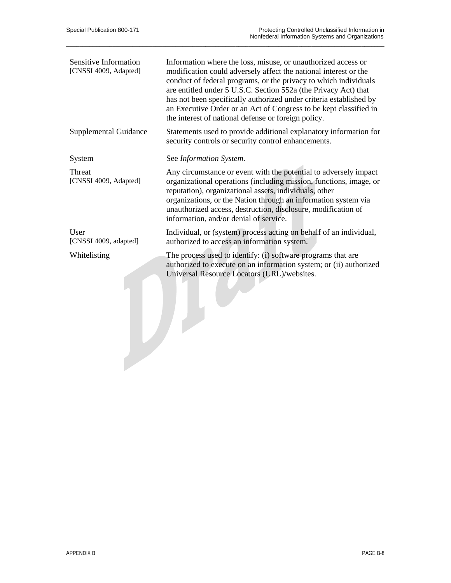| Information where the loss, misuse, or unauthorized access or<br>modification could adversely affect the national interest or the<br>conduct of federal programs, or the privacy to which individuals<br>are entitled under 5 U.S.C. Section 552a (the Privacy Act) that<br>has not been specifically authorized under criteria established by<br>an Executive Order or an Act of Congress to be kept classified in<br>the interest of national defense or foreign policy. |
|----------------------------------------------------------------------------------------------------------------------------------------------------------------------------------------------------------------------------------------------------------------------------------------------------------------------------------------------------------------------------------------------------------------------------------------------------------------------------|
| Statements used to provide additional explanatory information for<br>security controls or security control enhancements.                                                                                                                                                                                                                                                                                                                                                   |
| See Information System.                                                                                                                                                                                                                                                                                                                                                                                                                                                    |
| Any circumstance or event with the potential to adversely impact<br>organizational operations (including mission, functions, image, or<br>reputation), organizational assets, individuals, other<br>organizations, or the Nation through an information system via<br>unauthorized access, destruction, disclosure, modification of<br>information, and/or denial of service.                                                                                              |
| Individual, or (system) process acting on behalf of an individual,<br>authorized to access an information system.                                                                                                                                                                                                                                                                                                                                                          |
| The process used to identify: (i) software programs that are<br>authorized to execute on an information system; or (ii) authorized<br>Universal Resource Locators (URL)/websites.                                                                                                                                                                                                                                                                                          |
|                                                                                                                                                                                                                                                                                                                                                                                                                                                                            |